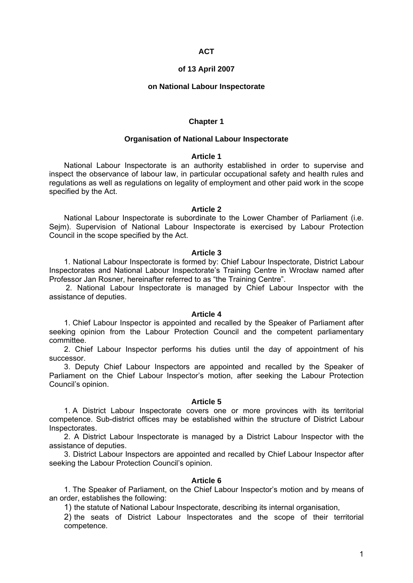# **ACT**

### **of 13 April 2007**

### **on National Labour Inspectorate**

### **Chapter 1**

### **Organisation of National Labour Inspectorate**

## **Article 1**

National Labour Inspectorate is an authority established in order to supervise and inspect the observance of labour law, in particular occupational safety and health rules and regulations as well as regulations on legality of employment and other paid work in the scope specified by the Act.

#### **Article 2**

National Labour Inspectorate is subordinate to the Lower Chamber of Parliament (i.e. Sejm). Supervision of National Labour Inspectorate is exercised by Labour Protection Council in the scope specified by the Act.

#### **Article 3**

1. National Labour Inspectorate is formed by: Chief Labour Inspectorate, District Labour Inspectorates and National Labour Inspectorate's Training Centre in Wrocław named after Professor Jan Rosner, hereinafter referred to as "the Training Centre".

2. National Labour Inspectorate is managed by Chief Labour Inspector with the assistance of deputies.

#### **Article 4**

1. Chief Labour Inspector is appointed and recalled by the Speaker of Parliament after seeking opinion from the Labour Protection Council and the competent parliamentary committee.

2. Chief Labour Inspector performs his duties until the day of appointment of his successor.

3. Deputy Chief Labour Inspectors are appointed and recalled by the Speaker of Parliament on the Chief Labour Inspector's motion, after seeking the Labour Protection Council's opinion.

#### **Article 5**

1. A District Labour Inspectorate covers one or more provinces with its territorial competence. Sub-district offices may be established within the structure of District Labour Inspectorates.

2. A District Labour Inspectorate is managed by a District Labour Inspector with the assistance of deputies.

3. District Labour Inspectors are appointed and recalled by Chief Labour Inspector after seeking the Labour Protection Council's opinion.

## **Article 6**

 1. The Speaker of Parliament, on the Chief Labour Inspector's motion and by means of an order, establishes the following:

1) the statute of National Labour Inspectorate, describing its internal organisation,

2) the seats of District Labour Inspectorates and the scope of their territorial competence.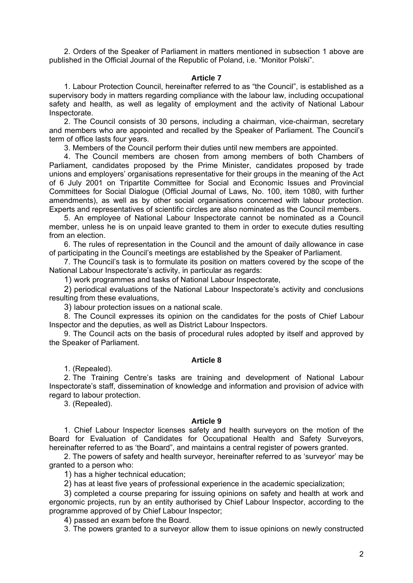2. Orders of the Speaker of Parliament in matters mentioned in subsection 1 above are published in the Official Journal of the Republic of Poland, i.e. "Monitor Polski".

## **Article 7**

 1. Labour Protection Council, hereinafter referred to as "the Council", is established as a supervisory body in matters regarding compliance with the labour law, including occupational safety and health, as well as legality of employment and the activity of National Labour Inspectorate.

2. The Council consists of 30 persons, including a chairman, vice-chairman, secretary and members who are appointed and recalled by the Speaker of Parliament. The Council's term of office lasts four years.

3. Members of the Council perform their duties until new members are appointed.

4. The Council members are chosen from among members of both Chambers of Parliament, candidates proposed by the Prime Minister, candidates proposed by trade unions and employers' organisations representative for their groups in the meaning of the Act of 6 July 2001 on Tripartite Committee for Social and Economic Issues and Provincial Committees for Social Dialogue (Official Journal of Laws, No. 100, item 1080, with further amendments), as well as by other social organisations concerned with labour protection. Experts and representatives of scientific circles are also nominated as the Council members.

5. An employee of National Labour Inspectorate cannot be nominated as a Council member, unless he is on unpaid leave granted to them in order to execute duties resulting from an election.

6. The rules of representation in the Council and the amount of daily allowance in case of participating in the Council's meetings are established by the Speaker of Parliament.

7. The Council's task is to formulate its position on matters covered by the scope of the National Labour Inspectorate's activity, in particular as regards:

1) work programmes and tasks of National Labour Inspectorate,

2) periodical evaluations of the National Labour Inspectorate's activity and conclusions resulting from these evaluations,

3) labour protection issues on a national scale.

8. The Council expresses its opinion on the candidates for the posts of Chief Labour Inspector and the deputies, as well as District Labour Inspectors.

9. The Council acts on the basis of procedural rules adopted by itself and approved by the Speaker of Parliament.

# **Article 8**

1. (Repealed).

2. The Training Centre's tasks are training and development of National Labour Inspectorate's staff, dissemination of knowledge and information and provision of advice with regard to labour protection.

3. (Repealed).

#### **Article 9**

1. Chief Labour Inspector licenses safety and health surveyors on the motion of the Board for Evaluation of Candidates for Occupational Health and Safety Surveyors, hereinafter referred to as 'the Board", and maintains a central register of powers granted.

2. The powers of safety and health surveyor, hereinafter referred to as 'surveyor' may be granted to a person who:

1) has a higher technical education;

2) has at least five years of professional experience in the academic specialization;

3) completed a course preparing for issuing opinions on safety and health at work and ergonomic projects, run by an entity authorised by Chief Labour Inspector, according to the programme approved of by Chief Labour Inspector;

4) passed an exam before the Board.

3. The powers granted to a surveyor allow them to issue opinions on newly constructed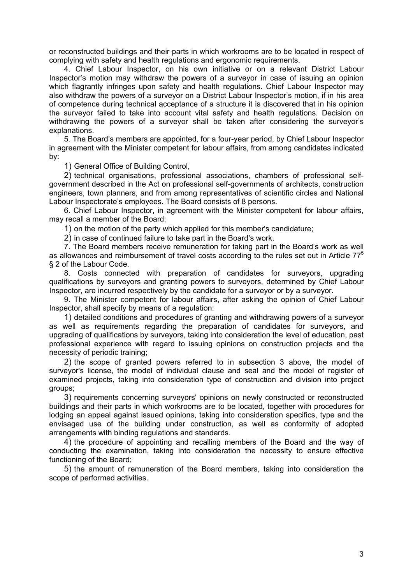or reconstructed buildings and their parts in which workrooms are to be located in respect of complying with safety and health regulations and ergonomic requirements.

4. Chief Labour Inspector, on his own initiative or on a relevant District Labour Inspector's motion may withdraw the powers of a surveyor in case of issuing an opinion which flagrantly infringes upon safety and health regulations. Chief Labour Inspector may also withdraw the powers of a surveyor on a District Labour Inspector's motion, if in his area of competence during technical acceptance of a structure it is discovered that in his opinion the surveyor failed to take into account vital safety and health regulations. Decision on withdrawing the powers of a surveyor shall be taken after considering the surveyor's explanations.

5. The Board's members are appointed, for a four-year period, by Chief Labour Inspector in agreement with the Minister competent for labour affairs, from among candidates indicated by:

1) General Office of Building Control,

2) technical organisations, professional associations, chambers of professional selfgovernment described in the Act on professional self-governments of architects, construction engineers, town planners, and from among representatives of scientific circles and National Labour Inspectorate's employees. The Board consists of 8 persons.

6. Chief Labour Inspector, in agreement with the Minister competent for labour affairs, may recall a member of the Board:

1) on the motion of the party which applied for this member's candidature;

2) in case of continued failure to take part in the Board's work.

7. The Board members receive remuneration for taking part in the Board's work as well as allowances and reimbursement of travel costs according to the rules set out in Article  $77<sup>5</sup>$ § 2 of the Labour Code.

8. Costs connected with preparation of candidates for surveyors, upgrading qualifications by surveyors and granting powers to surveyors, determined by Chief Labour Inspector, are incurred respectively by the candidate for a surveyor or by a surveyor.

9. The Minister competent for labour affairs, after asking the opinion of Chief Labour Inspector, shall specify by means of a regulation:

1) detailed conditions and procedures of granting and withdrawing powers of a surveyor as well as requirements regarding the preparation of candidates for surveyors, and upgrading of qualifications by surveyors, taking into consideration the level of education, past professional experience with regard to issuing opinions on construction projects and the necessity of periodic training;

2) the scope of granted powers referred to in subsection 3 above, the model of surveyor's license, the model of individual clause and seal and the model of register of examined projects, taking into consideration type of construction and division into project groups;

3) requirements concerning surveyors' opinions on newly constructed or reconstructed buildings and their parts in which workrooms are to be located, together with procedures for lodging an appeal against issued opinions, taking into consideration specifics, type and the envisaged use of the building under construction, as well as conformity of adopted arrangements with binding regulations and standards.

4) the procedure of appointing and recalling members of the Board and the way of conducting the examination, taking into consideration the necessity to ensure effective functioning of the Board;

5) the amount of remuneration of the Board members, taking into consideration the scope of performed activities.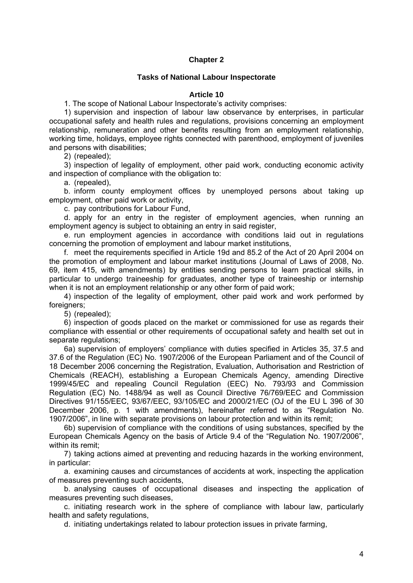# **Chapter 2**

## **Tasks of National Labour Inspectorate**

## **Article 10**

1. The scope of National Labour Inspectorate's activity comprises:

1) supervision and inspection of labour law observance by enterprises, in particular occupational safety and health rules and regulations, provisions concerning an employment relationship, remuneration and other benefits resulting from an employment relationship, working time, holidays, employee rights connected with parenthood, employment of juveniles and persons with disabilities;

2) (repealed);

3) inspection of legality of employment, other paid work, conducting economic activity and inspection of compliance with the obligation to:

a. (repealed),

b. inform county employment offices by unemployed persons about taking up employment, other paid work or activity,

c. pay contributions for Labour Fund,

d. apply for an entry in the register of employment agencies, when running an employment agency is subject to obtaining an entry in said register,

e. run employment agencies in accordance with conditions laid out in regulations concerning the promotion of employment and labour market institutions,

f. meet the requirements specified in Article 19d and 85.2 of the Act of 20 April 2004 on the promotion of employment and labour market institutions (Journal of Laws of 2008, No. 69, item 415, with amendments) by entities sending persons to learn practical skills, in particular to undergo traineeship for graduates, another type of traineeship or internship when it is not an employment relationship or any other form of paid work;

4) inspection of the legality of employment, other paid work and work performed by foreigners;

5) (repealed);

6) inspection of goods placed on the market or commissioned for use as regards their compliance with essential or other requirements of occupational safety and health set out in separate regulations;

6a) supervision of employers' compliance with duties specified in Articles 35, 37.5 and 37.6 of the Regulation (EC) No. 1907/2006 of the European Parliament and of the Council of 18 December 2006 concerning the Registration, Evaluation, Authorisation and Restriction of Chemicals (REACH), establishing a European Chemicals Agency, amending Directive 1999/45/EC and repealing Council Regulation (EEC) No. 793/93 and Commission Regulation (EC) No. 1488/94 as well as Council Directive 76/769/EEC and Commission Directives 91/155/EEC, 93/67/EEC, 93/105/EC and 2000/21/EC (OJ of the EU L 396 of 30 December 2006, p. 1 with amendments), hereinafter referred to as "Regulation No. 1907/2006", in line with separate provisions on labour protection and within its remit;

6b) supervision of compliance with the conditions of using substances, specified by the European Chemicals Agency on the basis of Article 9.4 of the "Regulation No. 1907/2006", within its remit:

7) taking actions aimed at preventing and reducing hazards in the working environment, in particular:

a. examining causes and circumstances of accidents at work, inspecting the application of measures preventing such accidents,

b. analysing causes of occupational diseases and inspecting the application of measures preventing such diseases,

c. initiating research work in the sphere of compliance with labour law, particularly health and safety regulations,

d. initiating undertakings related to labour protection issues in private farming,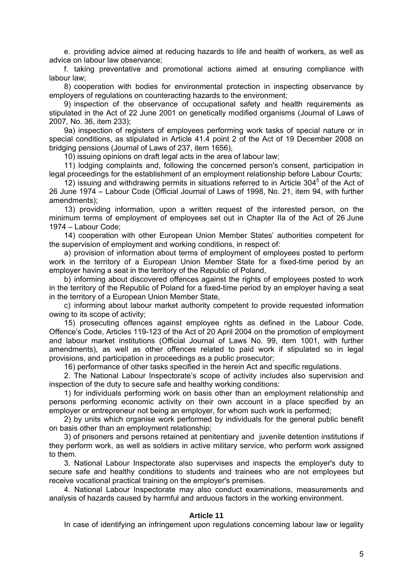e. providing advice aimed at reducing hazards to life and health of workers, as well as advice on labour law observance;

f. taking preventative and promotional actions aimed at ensuring compliance with labour law;

8) cooperation with bodies for environmental protection in inspecting observance by employers of regulations on counteracting hazards to the environment;

9) inspection of the observance of occupational safety and health requirements as stipulated in the Act of 22 June 2001 on genetically modified organisms (Journal of Laws of 2007, No. 36, item 233);

 9a) inspection of registers of employees performing work tasks of special nature or in special conditions, as stipulated in Article 41.4 point 2 of the Act of 19 December 2008 on bridging pensions (Journal of Laws of 237, item 1656),

10) issuing opinions on draft legal acts in the area of labour law;

 11) lodging complaints and, following the concerned person's consent, participation in legal proceedings for the establishment of an employment relationship before Labour Courts;

12) issuing and withdrawing permits in situations referred to in Article  $304<sup>5</sup>$  of the Act of 26 June 1974 – Labour Code (Official Journal of Laws of 1998, No. 21, item 94, with further amendments);

 13) providing information, upon a written request of the interested person, on the minimum terms of employment of employees set out in Chapter IIa of the Act of 26 June 1974 – Labour Code;

 14) cooperation with other European Union Member States' authorities competent for the supervision of employment and working conditions, in respect of:

a) provision of information about terms of employment of employees posted to perform work in the territory of a European Union Member State for a fixed-time period by an employer having a seat in the territory of the Republic of Poland,

b) informing about discovered offences against the rights of employees posted to work in the territory of the Republic of Poland for a fixed-time period by an employer having a seat in the territory of a European Union Member State,

c) informing about labour market authority competent to provide requested information owing to its scope of activity;

 15) prosecuting offences against employee rights as defined in the Labour Code, Offence's Code, Articles 119-123 of the Act of 20 April 2004 on the promotion of employment and labour market institutions (Official Journal of Laws No. 99, item 1001, with further amendments), as well as other offences related to paid work if stipulated so in legal provisions, and participation in proceedings as a public prosecutor;

16) performance of other tasks specified in the herein Act and specific regulations.

 2. The National Labour Inspectorate's scope of activity includes also supervision and inspection of the duty to secure safe and healthy working conditions:

 1) for individuals performing work on basis other than an employment relationship and persons performing economic activity on their own account in a place specified by an employer or entrepreneur not being an employer, for whom such work is performed;

 2) by units which organise work performed by individuals for the general public benefit on basis other than an employment relationship;

 3) of prisoners and persons retained at penitentiary and juvenile detention institutions if they perform work, as well as soldiers in active military service, who perform work assigned to them.

 3. National Labour Inspectorate also supervises and inspects the employer's duty to secure safe and healthy conditions to students and trainees who are not employees but receive vocational practical training on the employer's premises.

 4. National Labour Inspectorate may also conduct examinations, measurements and analysis of hazards caused by harmful and arduous factors in the working environment.

## **Article 11**

In case of identifying an infringement upon regulations concerning labour law or legality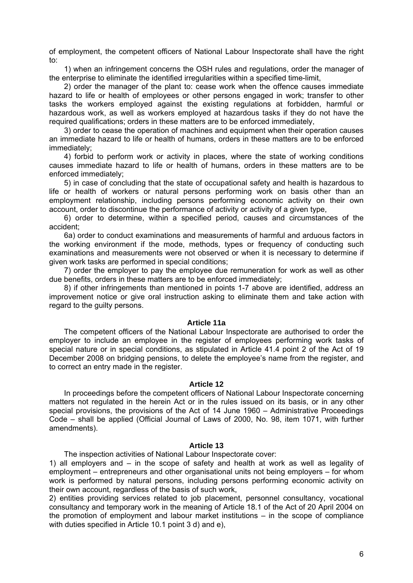of employment, the competent officers of National Labour Inspectorate shall have the right to:

 1) when an infringement concerns the OSH rules and regulations, order the manager of the enterprise to eliminate the identified irregularities within a specified time-limit,

 2) order the manager of the plant to: cease work when the offence causes immediate hazard to life or health of employees or other persons engaged in work; transfer to other tasks the workers employed against the existing regulations at forbidden, harmful or hazardous work, as well as workers employed at hazardous tasks if they do not have the required qualifications; orders in these matters are to be enforced immediately,

 3) order to cease the operation of machines and equipment when their operation causes an immediate hazard to life or health of humans, orders in these matters are to be enforced immediately;

 4) forbid to perform work or activity in places, where the state of working conditions causes immediate hazard to life or health of humans, orders in these matters are to be enforced immediately;

 5) in case of concluding that the state of occupational safety and health is hazardous to life or health of workers or natural persons performing work on basis other than an employment relationship, including persons performing economic activity on their own account, order to discontinue the performance of activity or activity of a given type,

 6) order to determine, within a specified period, causes and circumstances of the accident;

 6a) order to conduct examinations and measurements of harmful and arduous factors in the working environment if the mode, methods, types or frequency of conducting such examinations and measurements were not observed or when it is necessary to determine if given work tasks are performed in special conditions;

 7) order the employer to pay the employee due remuneration for work as well as other due benefits, orders in these matters are to be enforced immediately;

 8) if other infringements than mentioned in points 1-7 above are identified, address an improvement notice or give oral instruction asking to eliminate them and take action with regard to the guilty persons.

## **Article 11a**

 The competent officers of the National Labour Inspectorate are authorised to order the employer to include an employee in the register of employees performing work tasks of special nature or in special conditions, as stipulated in Article 41.4 point 2 of the Act of 19 December 2008 on bridging pensions, to delete the employee's name from the register, and to correct an entry made in the register.

## **Article 12**

 In proceedings before the competent officers of National Labour Inspectorate concerning matters not regulated in the herein Act or in the rules issued on its basis, or in any other special provisions, the provisions of the Act of 14 June 1960 – Administrative Proceedings Code – shall be applied (Official Journal of Laws of 2000, No. 98, item 1071, with further amendments).

### **Article 13**

The inspection activities of National Labour Inspectorate cover:

1) all employers and – in the scope of safety and health at work as well as legality of employment – entrepreneurs and other organisational units not being employers – for whom work is performed by natural persons, including persons performing economic activity on their own account, regardless of the basis of such work,

2) entities providing services related to job placement, personnel consultancy, vocational consultancy and temporary work in the meaning of Article 18.1 of the Act of 20 April 2004 on the promotion of employment and labour market institutions – in the scope of compliance with duties specified in Article 10.1 point 3 d) and e),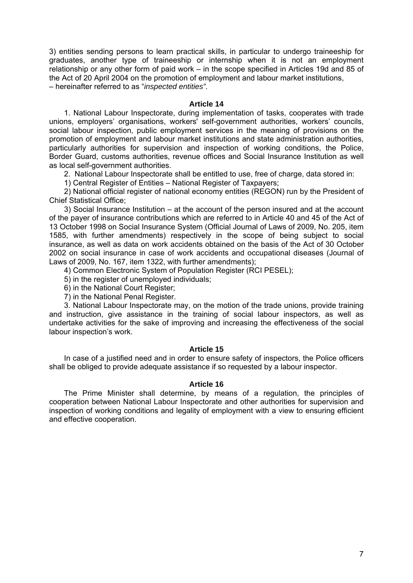3) entities sending persons to learn practical skills, in particular to undergo traineeship for graduates, another type of traineeship or internship when it is not an employment relationship or any other form of paid work – in the scope specified in Articles 19d and 85 of the Act of 20 April 2004 on the promotion of employment and labour market institutions, – hereinafter referred to as "*inspected entities"*.

## **Article 14**

 1. National Labour Inspectorate, during implementation of tasks, cooperates with trade unions, employers' organisations, workers' self-government authorities, workers' councils, social labour inspection, public employment services in the meaning of provisions on the promotion of employment and labour market institutions and state administration authorities, particularly authorities for supervision and inspection of working conditions, the Police, Border Guard, customs authorities, revenue offices and Social Insurance Institution as well as local self-government authorities.

2. National Labour Inspectorate shall be entitled to use, free of charge, data stored in:

1) Central Register of Entities – National Register of Taxpayers;

 2) National official register of national economy entities (REGON) run by the President of Chief Statistical Office;

 3) Social Insurance Institution – at the account of the person insured and at the account of the payer of insurance contributions which are referred to in Article 40 and 45 of the Act of 13 October 1998 on Social Insurance System (Official Journal of Laws of 2009, No. 205, item 1585, with further amendments) respectively in the scope of being subject to social insurance, as well as data on work accidents obtained on the basis of the Act of 30 October 2002 on social insurance in case of work accidents and occupational diseases (Journal of Laws of 2009, No. 167, item 1322, with further amendments);

4) Common Electronic System of Population Register (RCI PESEL);

- 5) in the register of unemployed individuals;
- 6) in the National Court Register;
- 7) in the National Penal Register.

 3. National Labour Inspectorate may, on the motion of the trade unions, provide training and instruction, give assistance in the training of social labour inspectors, as well as undertake activities for the sake of improving and increasing the effectiveness of the social labour inspection's work.

## **Article 15**

 In case of a justified need and in order to ensure safety of inspectors, the Police officers shall be obliged to provide adequate assistance if so requested by a labour inspector.

## **Article 16**

 The Prime Minister shall determine, by means of a regulation, the principles of cooperation between National Labour Inspectorate and other authorities for supervision and inspection of working conditions and legality of employment with a view to ensuring efficient and effective cooperation.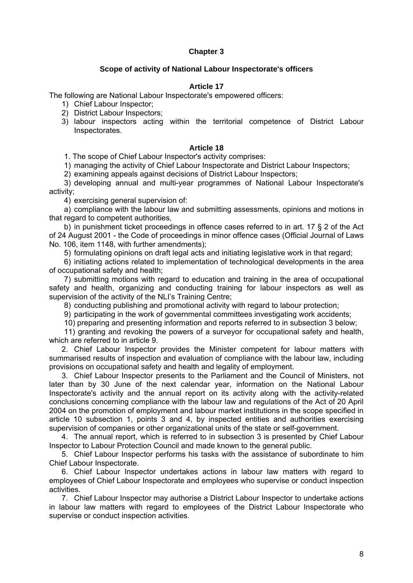# **Chapter 3**

# **Scope of activity of National Labour Inspectorate's officers**

## **Article 17**

The following are National Labour Inspectorate's empowered officers:

- 1) Chief Labour Inspector;
- 2) District Labour Inspectors;
- 3) labour inspectors acting within the territorial competence of District Labour Inspectorates.

# **Article 18**

1. The scope of Chief Labour Inspector's activity comprises:

1) managing the activity of Chief Labour Inspectorate and District Labour Inspectors;

2) examining appeals against decisions of District Labour Inspectors;

3) developing annual and multi-year programmes of National Labour Inspectorate's activity;

4) exercising general supervision of:

a) compliance with the labour law and submitting assessments, opinions and motions in that regard to competent authorities,

b) in punishment ticket proceedings in offence cases referred to in art. 17 § 2 of the Act of 24 August 2001 - the Code of proceedings in minor offence cases (Official Journal of Laws No. 106, item 1148, with further amendments);

5) formulating opinions on draft legal acts and initiating legislative work in that regard;

6) initiating actions related to implementation of technological developments in the area of occupational safety and health;

7) submitting motions with regard to education and training in the area of occupational safety and health, organizing and conducting training for labour inspectors as well as supervision of the activity of the NLI's Training Centre;

8) conducting publishing and promotional activity with regard to labour protection;

9) participating in the work of governmental committees investigating work accidents;

10) preparing and presenting information and reports referred to in subsection 3 below;

 11) granting and revoking the powers of a surveyor for occupational safety and health, which are referred to in article 9.

2. Chief Labour Inspector provides the Minister competent for labour matters with summarised results of inspection and evaluation of compliance with the labour law, including provisions on occupational safety and health and legality of employment.

3. Chief Labour Inspector presents to the Parliament and the Council of Ministers, not later than by 30 June of the next calendar year, information on the National Labour Inspectorate's activity and the annual report on its activity along with the activity-related conclusions concerning compliance with the labour law and regulations of the Act of 20 April 2004 on the promotion of employment and labour market institutions in the scope specified in article 10 subsection 1, points 3 and 4, by inspected entities and authorities exercising supervision of companies or other organizational units of the state or self-government.

4. The annual report, which is referred to in subsection 3 is presented by Chief Labour Inspector to Labour Protection Council and made known to the general public.

5. Chief Labour Inspector performs his tasks with the assistance of subordinate to him Chief Labour Inspectorate.

6. Chief Labour Inspector undertakes actions in labour law matters with regard to employees of Chief Labour Inspectorate and employees who supervise or conduct inspection activities.

7. Chief Labour Inspector may authorise a District Labour Inspector to undertake actions in labour law matters with regard to employees of the District Labour Inspectorate who supervise or conduct inspection activities.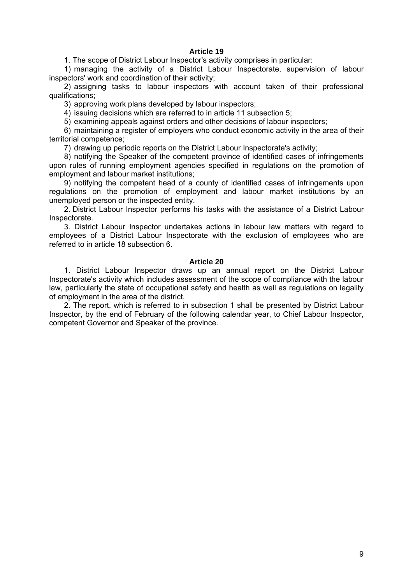# **Article 19**

1. The scope of District Labour Inspector's activity comprises in particular:

1) managing the activity of a District Labour Inspectorate, supervision of labour inspectors' work and coordination of their activity;

2) assigning tasks to labour inspectors with account taken of their professional qualifications;

3) approving work plans developed by labour inspectors;

4) issuing decisions which are referred to in article 11 subsection 5;

5) examining appeals against orders and other decisions of labour inspectors;

6) maintaining a register of employers who conduct economic activity in the area of their territorial competence;

7) drawing up periodic reports on the District Labour Inspectorate's activity;

8) notifying the Speaker of the competent province of identified cases of infringements upon rules of running employment agencies specified in regulations on the promotion of employment and labour market institutions;

9) notifying the competent head of a county of identified cases of infringements upon regulations on the promotion of employment and labour market institutions by an unemployed person or the inspected entity.

 2. District Labour Inspector performs his tasks with the assistance of a District Labour Inspectorate.

 3. District Labour Inspector undertakes actions in labour law matters with regard to employees of a District Labour Inspectorate with the exclusion of employees who are referred to in article 18 subsection 6.

#### **Article 20**

 1. District Labour Inspector draws up an annual report on the District Labour Inspectorate's activity which includes assessment of the scope of compliance with the labour law, particularly the state of occupational safety and health as well as regulations on legality of employment in the area of the district.

 2. The report, which is referred to in subsection 1 shall be presented by District Labour Inspector, by the end of February of the following calendar year, to Chief Labour Inspector, competent Governor and Speaker of the province.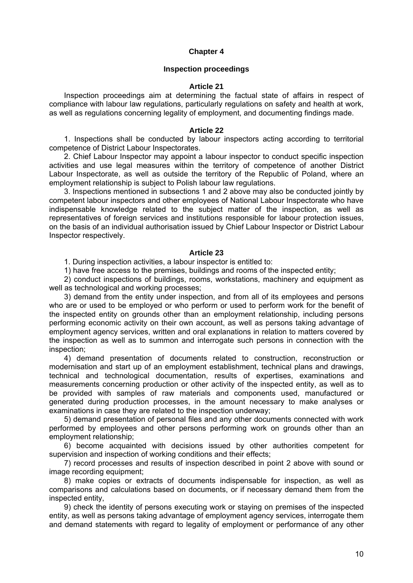# **Chapter 4**

### **Inspection proceedings**

## **Article 21**

 Inspection proceedings aim at determining the factual state of affairs in respect of compliance with labour law regulations, particularly regulations on safety and health at work, as well as regulations concerning legality of employment, and documenting findings made.

### **Article 22**

 1. Inspections shall be conducted by labour inspectors acting according to territorial competence of District Labour Inspectorates.

 2. Chief Labour Inspector may appoint a labour inspector to conduct specific inspection activities and use legal measures within the territory of competence of another District Labour Inspectorate, as well as outside the territory of the Republic of Poland, where an employment relationship is subject to Polish labour law regulations.

 3. Inspections mentioned in subsections 1 and 2 above may also be conducted jointly by competent labour inspectors and other employees of National Labour Inspectorate who have indispensable knowledge related to the subject matter of the inspection, as well as representatives of foreign services and institutions responsible for labour protection issues. on the basis of an individual authorisation issued by Chief Labour Inspector or District Labour Inspector respectively.

### **Article 23**

1. During inspection activities, a labour inspector is entitled to:

1) have free access to the premises, buildings and rooms of the inspected entity;

 2) conduct inspections of buildings, rooms, workstations, machinery and equipment as well as technological and working processes;

 3) demand from the entity under inspection, and from all of its employees and persons who are or used to be employed or who perform or used to perform work for the benefit of the inspected entity on grounds other than an employment relationship, including persons performing economic activity on their own account, as well as persons taking advantage of employment agency services, written and oral explanations in relation to matters covered by the inspection as well as to summon and interrogate such persons in connection with the inspection;

 4) demand presentation of documents related to construction, reconstruction or modernisation and start up of an employment establishment, technical plans and drawings, technical and technological documentation, results of expertises, examinations and measurements concerning production or other activity of the inspected entity, as well as to be provided with samples of raw materials and components used, manufactured or generated during production processes, in the amount necessary to make analyses or examinations in case they are related to the inspection underway;

 5) demand presentation of personal files and any other documents connected with work performed by employees and other persons performing work on grounds other than an employment relationship;

 6) become acquainted with decisions issued by other authorities competent for supervision and inspection of working conditions and their effects;

 7) record processes and results of inspection described in point 2 above with sound or image recording equipment;

 8) make copies or extracts of documents indispensable for inspection, as well as comparisons and calculations based on documents, or if necessary demand them from the inspected entity,

 9) check the identity of persons executing work or staying on premises of the inspected entity, as well as persons taking advantage of employment agency services, interrogate them and demand statements with regard to legality of employment or performance of any other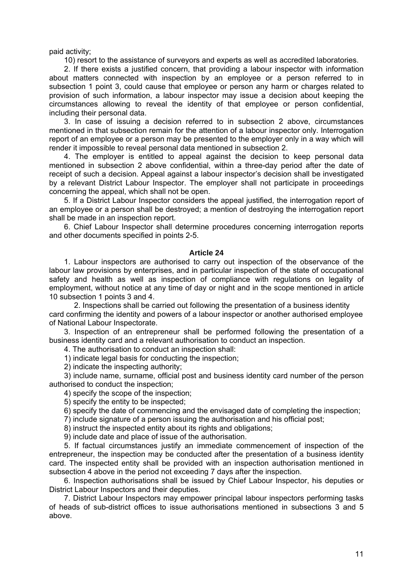paid activity;

10) resort to the assistance of surveyors and experts as well as accredited laboratories.

 2. If there exists a justified concern, that providing a labour inspector with information about matters connected with inspection by an employee or a person referred to in subsection 1 point 3, could cause that employee or person any harm or charges related to provision of such information, a labour inspector may issue a decision about keeping the circumstances allowing to reveal the identity of that employee or person confidential, including their personal data.

 3. In case of issuing a decision referred to in subsection 2 above, circumstances mentioned in that subsection remain for the attention of a labour inspector only. Interrogation report of an employee or a person may be presented to the employer only in a way which will render it impossible to reveal personal data mentioned in subsection 2.

 4. The employer is entitled to appeal against the decision to keep personal data mentioned in subsection 2 above confidential, within a three-day period after the date of receipt of such a decision. Appeal against a labour inspector's decision shall be investigated by a relevant District Labour Inspector. The employer shall not participate in proceedings concerning the appeal, which shall not be open.

 5. If a District Labour Inspector considers the appeal justified, the interrogation report of an employee or a person shall be destroyed; a mention of destroying the interrogation report shall be made in an inspection report.

 6. Chief Labour Inspector shall determine procedures concerning interrogation reports and other documents specified in points 2-5.

### **Article 24**

 1. Labour inspectors are authorised to carry out inspection of the observance of the labour law provisions by enterprises, and in particular inspection of the state of occupational safety and health as well as inspection of compliance with regulations on legality of employment, without notice at any time of day or night and in the scope mentioned in article 10 subsection 1 points 3 and 4.

 2. Inspections shall be carried out following the presentation of a business identity card confirming the identity and powers of a labour inspector or another authorised employee of National Labour Inspectorate.

 3. Inspection of an entrepreneur shall be performed following the presentation of a business identity card and a relevant authorisation to conduct an inspection.

4. The authorisation to conduct an inspection shall:

1) indicate legal basis for conducting the inspection;

2) indicate the inspecting authority;

 3) include name, surname, official post and business identity card number of the person authorised to conduct the inspection;

4) specify the scope of the inspection;

5) specify the entity to be inspected;

6) specify the date of commencing and the envisaged date of completing the inspection;

7) include signature of a person issuing the authorisation and his official post;

8) instruct the inspected entity about its rights and obligations;

9) include date and place of issue of the authorisation.

 5. If factual circumstances justify an immediate commencement of inspection of the entrepreneur, the inspection may be conducted after the presentation of a business identity card. The inspected entity shall be provided with an inspection authorisation mentioned in subsection 4 above in the period not exceeding 7 days after the inspection.

 6. Inspection authorisations shall be issued by Chief Labour Inspector, his deputies or District Labour Inspectors and their deputies.

 7. District Labour Inspectors may empower principal labour inspectors performing tasks of heads of sub-district offices to issue authorisations mentioned in subsections 3 and 5 above.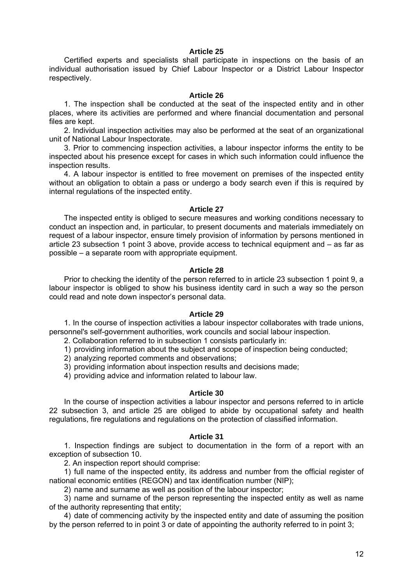### **Article 25**

 Certified experts and specialists shall participate in inspections on the basis of an individual authorisation issued by Chief Labour Inspector or a District Labour Inspector respectively.

#### **Article 26**

 1. The inspection shall be conducted at the seat of the inspected entity and in other places, where its activities are performed and where financial documentation and personal files are kept.

 2. Individual inspection activities may also be performed at the seat of an organizational unit of National Labour Inspectorate.

 3. Prior to commencing inspection activities, a labour inspector informs the entity to be inspected about his presence except for cases in which such information could influence the inspection results.

 4. A labour inspector is entitled to free movement on premises of the inspected entity without an obligation to obtain a pass or undergo a body search even if this is required by internal regulations of the inspected entity.

### **Article 27**

 The inspected entity is obliged to secure measures and working conditions necessary to conduct an inspection and, in particular, to present documents and materials immediately on request of a labour inspector, ensure timely provision of information by persons mentioned in article 23 subsection 1 point 3 above, provide access to technical equipment and – as far as possible – a separate room with appropriate equipment.

## **Article 28**

 Prior to checking the identity of the person referred to in article 23 subsection 1 point 9, a labour inspector is obliged to show his business identity card in such a way so the person could read and note down inspector's personal data.

## **Article 29**

 1. In the course of inspection activities a labour inspector collaborates with trade unions, personnel's self-government authorities, work councils and social labour inspection.

- 2. Collaboration referred to in subsection 1 consists particularly in:
- 1) providing information about the subject and scope of inspection being conducted;
- 2) analyzing reported comments and observations;
- 3) providing information about inspection results and decisions made;
- 4) providing advice and information related to labour law.

## **Article 30**

 In the course of inspection activities a labour inspector and persons referred to in article 22 subsection 3, and article 25 are obliged to abide by occupational safety and health regulations, fire regulations and regulations on the protection of classified information.

#### **Article 31**

 1. Inspection findings are subject to documentation in the form of a report with an exception of subsection 10.

2. An inspection report should comprise:

1) full name of the inspected entity, its address and number from the official register of national economic entities (REGON) and tax identification number (NIP);

2) name and surname as well as position of the labour inspector;

3) name and surname of the person representing the inspected entity as well as name of the authority representing that entity;

4) date of commencing activity by the inspected entity and date of assuming the position by the person referred to in point 3 or date of appointing the authority referred to in point 3;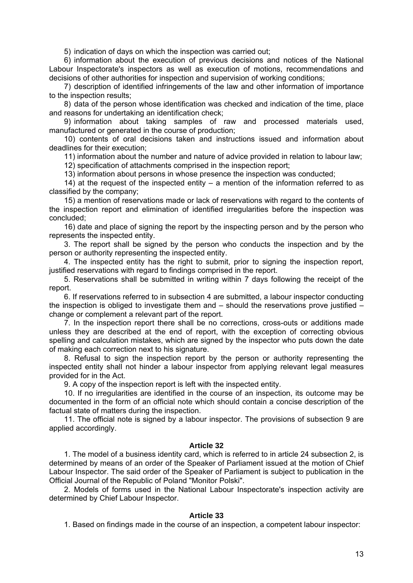5) indication of days on which the inspection was carried out;

6) information about the execution of previous decisions and notices of the National Labour Inspectorate's inspectors as well as execution of motions, recommendations and decisions of other authorities for inspection and supervision of working conditions;

7) description of identified infringements of the law and other information of importance to the inspection results;

8) data of the person whose identification was checked and indication of the time, place and reasons for undertaking an identification check;

9) information about taking samples of raw and processed materials used, manufactured or generated in the course of production;

10) contents of oral decisions taken and instructions issued and information about deadlines for their execution;

11) information about the number and nature of advice provided in relation to labour law;

12) specification of attachments comprised in the inspection report;

13) information about persons in whose presence the inspection was conducted;

14) at the request of the inspected entity – a mention of the information referred to as classified by the company;

15) a mention of reservations made or lack of reservations with regard to the contents of the inspection report and elimination of identified irregularities before the inspection was concluded;

16) date and place of signing the report by the inspecting person and by the person who represents the inspected entity.

 3. The report shall be signed by the person who conducts the inspection and by the person or authority representing the inspected entity.

 4. The inspected entity has the right to submit, prior to signing the inspection report, justified reservations with regard to findings comprised in the report.

 5. Reservations shall be submitted in writing within 7 days following the receipt of the report.

 6. If reservations referred to in subsection 4 are submitted, a labour inspector conducting the inspection is obliged to investigate them and – should the reservations prove justified – change or complement a relevant part of the report.

 7. In the inspection report there shall be no corrections, cross-outs or additions made unless they are described at the end of report, with the exception of correcting obvious spelling and calculation mistakes, which are signed by the inspector who puts down the date of making each correction next to his signature.

 8. Refusal to sign the inspection report by the person or authority representing the inspected entity shall not hinder a labour inspector from applying relevant legal measures provided for in the Act.

9. A copy of the inspection report is left with the inspected entity.

 10. If no irregularities are identified in the course of an inspection, its outcome may be documented in the form of an official note which should contain a concise description of the factual state of matters during the inspection.

 11. The official note is signed by a labour inspector. The provisions of subsection 9 are applied accordingly.

#### **Article 32**

 1. The model of a business identity card, which is referred to in article 24 subsection 2, is determined by means of an order of the Speaker of Parliament issued at the motion of Chief Labour Inspector. The said order of the Speaker of Parliament is subject to publication in the Official Journal of the Republic of Poland "Monitor Polski".

 2. Models of forms used in the National Labour Inspectorate's inspection activity are determined by Chief Labour Inspector.

## **Article 33**

1. Based on findings made in the course of an inspection, a competent labour inspector: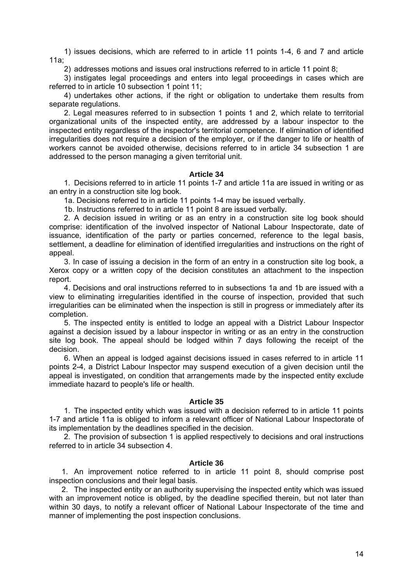1) issues decisions, which are referred to in article 11 points 1-4, 6 and 7 and article 11a;

2) addresses motions and issues oral instructions referred to in article 11 point 8;

3) instigates legal proceedings and enters into legal proceedings in cases which are referred to in article 10 subsection 1 point 11;

4) undertakes other actions, if the right or obligation to undertake them results from separate regulations.

 2. Legal measures referred to in subsection 1 points 1 and 2, which relate to territorial organizational units of the inspected entity, are addressed by a labour inspector to the inspected entity regardless of the inspector's territorial competence. If elimination of identified irregularities does not require a decision of the employer, or if the danger to life or health of workers cannot be avoided otherwise, decisions referred to in article 34 subsection 1 are addressed to the person managing a given territorial unit.

# **Article 34**

1. Decisions referred to in article 11 points 1-7 and article 11a are issued in writing or as an entry in a construction site log book.

1a. Decisions referred to in article 11 points 1-4 may be issued verbally.

1b. Instructions referred to in article 11 point 8 are issued verbally.

2. A decision issued in writing or as an entry in a construction site log book should comprise: identification of the involved inspector of National Labour Inspectorate, date of issuance, identification of the party or parties concerned, reference to the legal basis, settlement, a deadline for elimination of identified irregularities and instructions on the right of appeal.

 3. In case of issuing a decision in the form of an entry in a construction site log book, a Xerox copy or a written copy of the decision constitutes an attachment to the inspection report.

 4. Decisions and oral instructions referred to in subsections 1a and 1b are issued with a view to eliminating irregularities identified in the course of inspection, provided that such irregularities can be eliminated when the inspection is still in progress or immediately after its completion.

 5. The inspected entity is entitled to lodge an appeal with a District Labour Inspector against a decision issued by a labour inspector in writing or as an entry in the construction site log book. The appeal should be lodged within 7 days following the receipt of the decision.

 6. When an appeal is lodged against decisions issued in cases referred to in article 11 points 2-4, a District Labour Inspector may suspend execution of a given decision until the appeal is investigated, on condition that arrangements made by the inspected entity exclude immediate hazard to people's life or health.

## **Article 35**

1. The inspected entity which was issued with a decision referred to in article 11 points 1-7 and article 11a is obliged to inform a relevant officer of National Labour Inspectorate of its implementation by the deadlines specified in the decision.

2. The provision of subsection 1 is applied respectively to decisions and oral instructions referred to in article 34 subsection 4.

## **Article 36**

1. An improvement notice referred to in article 11 point 8, should comprise post inspection conclusions and their legal basis.

2. The inspected entity or an authority supervising the inspected entity which was issued with an improvement notice is obliged, by the deadline specified therein, but not later than within 30 days, to notify a relevant officer of National Labour Inspectorate of the time and manner of implementing the post inspection conclusions.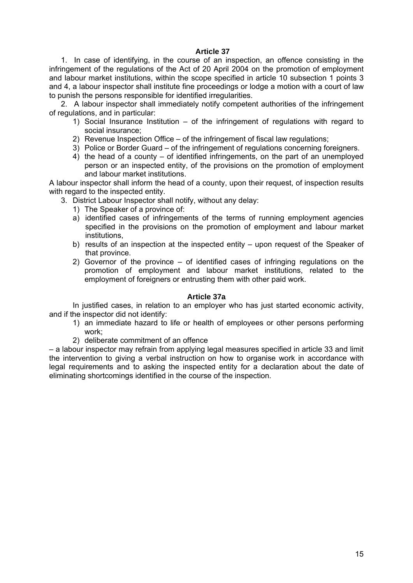# **Article 37**

1. In case of identifying, in the course of an inspection, an offence consisting in the infringement of the regulations of the Act of 20 April 2004 on the promotion of employment and labour market institutions, within the scope specified in article 10 subsection 1 points 3 and 4, a labour inspector shall institute fine proceedings or lodge a motion with a court of law to punish the persons responsible for identified irregularities.

2. A labour inspector shall immediately notify competent authorities of the infringement of regulations, and in particular:

- 1) Social Insurance Institution of the infringement of regulations with regard to social insurance;
- 2) Revenue Inspection Office of the infringement of fiscal law regulations;
- 3) Police or Border Guard of the infringement of regulations concerning foreigners.
- 4) the head of a county of identified infringements, on the part of an unemployed person or an inspected entity, of the provisions on the promotion of employment and labour market institutions.

A labour inspector shall inform the head of a county, upon their request, of inspection results with regard to the inspected entity.

- 3. District Labour Inspector shall notify, without any delay:
	- 1) The Speaker of a province of:
	- a) identified cases of infringements of the terms of running employment agencies specified in the provisions on the promotion of employment and labour market institutions,
	- b) results of an inspection at the inspected entity upon request of the Speaker of that province.
	- 2) Governor of the province of identified cases of infringing regulations on the promotion of employment and labour market institutions, related to the employment of foreigners or entrusting them with other paid work.

## **Article 37a**

In justified cases, in relation to an employer who has just started economic activity, and if the inspector did not identify:

- 1) an immediate hazard to life or health of employees or other persons performing work;
- 2) deliberate commitment of an offence

– a labour inspector may refrain from applying legal measures specified in article 33 and limit the intervention to giving a verbal instruction on how to organise work in accordance with legal requirements and to asking the inspected entity for a declaration about the date of eliminating shortcomings identified in the course of the inspection.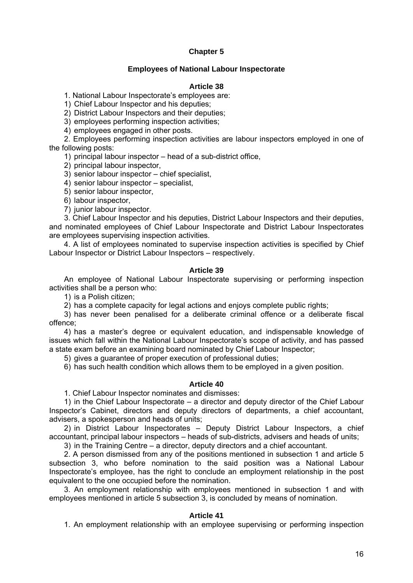# **Chapter 5**

# **Employees of National Labour Inspectorate**

# **Article 38**

1. National Labour Inspectorate's employees are:

1) Chief Labour Inspector and his deputies;

2) District Labour Inspectors and their deputies;

3) employees performing inspection activities;

4) employees engaged in other posts.

 2. Employees performing inspection activities are labour inspectors employed in one of the following posts:

1) principal labour inspector – head of a sub-district office,

2) principal labour inspector,

3) senior labour inspector – chief specialist,

4) senior labour inspector – specialist,

5) senior labour inspector,

6) labour inspector,

7) junior labour inspector.

 3. Chief Labour Inspector and his deputies, District Labour Inspectors and their deputies, and nominated employees of Chief Labour Inspectorate and District Labour Inspectorates are employees supervising inspection activities.

 4. A list of employees nominated to supervise inspection activities is specified by Chief Labour Inspector or District Labour Inspectors – respectively.

# **Article 39**

 An employee of National Labour Inspectorate supervising or performing inspection activities shall be a person who:

1) is a Polish citizen;

2) has a complete capacity for legal actions and enjoys complete public rights;

3) has never been penalised for a deliberate criminal offence or a deliberate fiscal offence;

4) has a master's degree or equivalent education, and indispensable knowledge of issues which fall within the National Labour Inspectorate's scope of activity, and has passed a state exam before an examining board nominated by Chief Labour Inspector;

5) gives a guarantee of proper execution of professional duties;

6) has such health condition which allows them to be employed in a given position.

## **Article 40**

1. Chief Labour Inspector nominates and dismisses:

1) in the Chief Labour Inspectorate – a director and deputy director of the Chief Labour Inspector's Cabinet, directors and deputy directors of departments, a chief accountant, advisers, a spokesperson and heads of units;

2) in District Labour Inspectorates – Deputy District Labour Inspectors, a chief accountant, principal labour inspectors – heads of sub-districts, advisers and heads of units;

3) in the Training Centre – a director, deputy directors and a chief accountant.

 2. A person dismissed from any of the positions mentioned in subsection 1 and article 5 subsection 3, who before nomination to the said position was a National Labour Inspectorate's employee, has the right to conclude an employment relationship in the post equivalent to the one occupied before the nomination.

 3. An employment relationship with employees mentioned in subsection 1 and with employees mentioned in article 5 subsection 3, is concluded by means of nomination.

## **Article 41**

1. An employment relationship with an employee supervising or performing inspection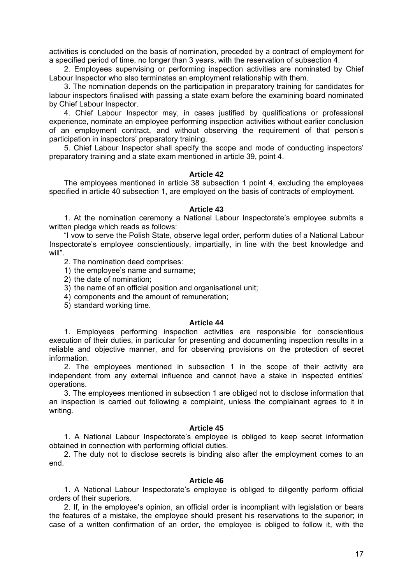activities is concluded on the basis of nomination, preceded by a contract of employment for a specified period of time, no longer than 3 years, with the reservation of subsection 4.

 2. Employees supervising or performing inspection activities are nominated by Chief Labour Inspector who also terminates an employment relationship with them.

 3. The nomination depends on the participation in preparatory training for candidates for labour inspectors finalised with passing a state exam before the examining board nominated by Chief Labour Inspector.

 4. Chief Labour Inspector may, in cases justified by qualifications or professional experience, nominate an employee performing inspection activities without earlier conclusion of an employment contract, and without observing the requirement of that person's participation in inspectors' preparatory training.

 5. Chief Labour Inspector shall specify the scope and mode of conducting inspectors' preparatory training and a state exam mentioned in article 39, point 4.

### **Article 42**

 The employees mentioned in article 38 subsection 1 point 4, excluding the employees specified in article 40 subsection 1, are employed on the basis of contracts of employment.

### **Article 43**

 1. At the nomination ceremony a National Labour Inspectorate's employee submits a written pledge which reads as follows:

 "I vow to serve the Polish State, observe legal order, perform duties of a National Labour Inspectorate's employee conscientiously, impartially, in line with the best knowledge and will".

2. The nomination deed comprises:

- 1) the employee's name and surname;
- 2) the date of nomination;
- 3) the name of an official position and organisational unit;
- 4) components and the amount of remuneration;
- 5) standard working time.

### **Article 44**

 1. Employees performing inspection activities are responsible for conscientious execution of their duties, in particular for presenting and documenting inspection results in a reliable and objective manner, and for observing provisions on the protection of secret information.

 2. The employees mentioned in subsection 1 in the scope of their activity are independent from any external influence and cannot have a stake in inspected entities' operations.

 3. The employees mentioned in subsection 1 are obliged not to disclose information that an inspection is carried out following a complaint, unless the complainant agrees to it in writing.

### **Article 45**

 1. A National Labour Inspectorate's employee is obliged to keep secret information obtained in connection with performing official duties.

 2. The duty not to disclose secrets is binding also after the employment comes to an end.

### **Article 46**

 1. A National Labour Inspectorate's employee is obliged to diligently perform official orders of their superiors.

 2. If, in the employee's opinion, an official order is incompliant with legislation or bears the features of a mistake, the employee should present his reservations to the superior; in case of a written confirmation of an order, the employee is obliged to follow it, with the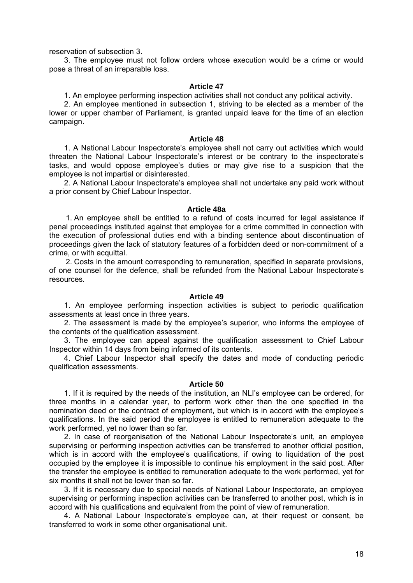reservation of subsection 3.

 3. The employee must not follow orders whose execution would be a crime or would pose a threat of an irreparable loss.

### **Article 47**

1. An employee performing inspection activities shall not conduct any political activity.

 2. An employee mentioned in subsection 1, striving to be elected as a member of the lower or upper chamber of Parliament, is granted unpaid leave for the time of an election campaign.

#### **Article 48**

 1. A National Labour Inspectorate's employee shall not carry out activities which would threaten the National Labour Inspectorate's interest or be contrary to the inspectorate's tasks, and would oppose employee's duties or may give rise to a suspicion that the employee is not impartial or disinterested.

 2. A National Labour Inspectorate's employee shall not undertake any paid work without a prior consent by Chief Labour Inspector.

#### **Article 48a**

1. An employee shall be entitled to a refund of costs incurred for legal assistance if penal proceedings instituted against that employee for a crime committed in connection with the execution of professional duties end with a binding sentence about discontinuation of proceedings given the lack of statutory features of a forbidden deed or non-commitment of a crime, or with acquittal.

2. Costs in the amount corresponding to remuneration, specified in separate provisions, of one counsel for the defence, shall be refunded from the National Labour Inspectorate's resources.

## **Article 49**

 1. An employee performing inspection activities is subject to periodic qualification assessments at least once in three years.

 2. The assessment is made by the employee's superior, who informs the employee of the contents of the qualification assessment.

 3. The employee can appeal against the qualification assessment to Chief Labour Inspector within 14 days from being informed of its contents.

 4. Chief Labour Inspector shall specify the dates and mode of conducting periodic qualification assessments.

#### **Article 50**

 1. If it is required by the needs of the institution, an NLI's employee can be ordered, for three months in a calendar year, to perform work other than the one specified in the nomination deed or the contract of employment, but which is in accord with the employee's qualifications. In the said period the employee is entitled to remuneration adequate to the work performed, yet no lower than so far.

 2. In case of reorganisation of the National Labour Inspectorate's unit, an employee supervising or performing inspection activities can be transferred to another official position, which is in accord with the employee's qualifications, if owing to liquidation of the post occupied by the employee it is impossible to continue his employment in the said post. After the transfer the employee is entitled to remuneration adequate to the work performed, yet for six months it shall not be lower than so far.

 3. If it is necessary due to special needs of National Labour Inspectorate, an employee supervising or performing inspection activities can be transferred to another post, which is in accord with his qualifications and equivalent from the point of view of remuneration.

 4. A National Labour Inspectorate's employee can, at their request or consent, be transferred to work in some other organisational unit.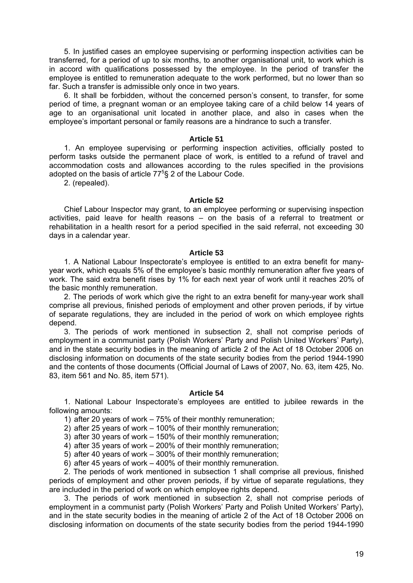5. In justified cases an employee supervising or performing inspection activities can be transferred, for a period of up to six months, to another organisational unit, to work which is in accord with qualifications possessed by the employee. In the period of transfer the employee is entitled to remuneration adequate to the work performed, but no lower than so far. Such a transfer is admissible only once in two years.

 6. It shall be forbidden, without the concerned person's consent, to transfer, for some period of time, a pregnant woman or an employee taking care of a child below 14 years of age to an organisational unit located in another place, and also in cases when the employee's important personal or family reasons are a hindrance to such a transfer.

### **Article 51**

 1. An employee supervising or performing inspection activities, officially posted to perform tasks outside the permanent place of work, is entitled to a refund of travel and accommodation costs and allowances according to the rules specified in the provisions adopted on the basis of article  $77<sup>5</sup>$ § 2 of the Labour Code.

2. (repealed).

### **Article 52**

 Chief Labour Inspector may grant, to an employee performing or supervising inspection activities, paid leave for health reasons – on the basis of a referral to treatment or rehabilitation in a health resort for a period specified in the said referral, not exceeding 30 days in a calendar year.

### **Article 53**

 1. A National Labour Inspectorate's employee is entitled to an extra benefit for manyyear work, which equals 5% of the employee's basic monthly remuneration after five years of work. The said extra benefit rises by 1% for each next year of work until it reaches 20% of the basic monthly remuneration.

 2. The periods of work which give the right to an extra benefit for many-year work shall comprise all previous, finished periods of employment and other proven periods, if by virtue of separate regulations, they are included in the period of work on which employee rights depend.

 3. The periods of work mentioned in subsection 2, shall not comprise periods of employment in a communist party (Polish Workers' Party and Polish United Workers' Party), and in the state security bodies in the meaning of article 2 of the Act of 18 October 2006 on disclosing information on documents of the state security bodies from the period 1944-1990 and the contents of those documents (Official Journal of Laws of 2007, No. 63, item 425, No. 83, item 561 and No. 85, item 571).

## **Article 54**

 1. National Labour Inspectorate's employees are entitled to jubilee rewards in the following amounts:

- 1) after 20 years of work 75% of their monthly remuneration;
- 2) after 25 years of work 100% of their monthly remuneration;
- 3) after 30 years of work 150% of their monthly remuneration;
- 4) after 35 years of work 200% of their monthly remuneration;
- 5) after 40 years of work 300% of their monthly remuneration;
- 6) after 45 years of work 400% of their monthly remuneration.

 2. The periods of work mentioned in subsection 1 shall comprise all previous, finished periods of employment and other proven periods, if by virtue of separate regulations, they are included in the period of work on which employee rights depend.

 3. The periods of work mentioned in subsection 2, shall not comprise periods of employment in a communist party (Polish Workers' Party and Polish United Workers' Party), and in the state security bodies in the meaning of article 2 of the Act of 18 October 2006 on disclosing information on documents of the state security bodies from the period 1944-1990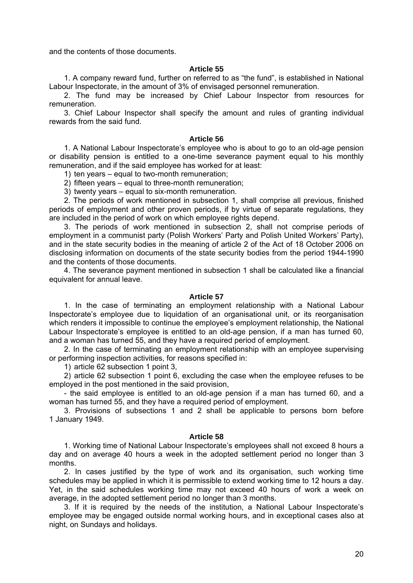and the contents of those documents.

### **Article 55**

 1. A company reward fund, further on referred to as "the fund", is established in National Labour Inspectorate, in the amount of 3% of envisaged personnel remuneration.

 2. The fund may be increased by Chief Labour Inspector from resources for remuneration.

 3. Chief Labour Inspector shall specify the amount and rules of granting individual rewards from the said fund.

#### **Article 56**

 1. A National Labour Inspectorate's employee who is about to go to an old-age pension or disability pension is entitled to a one-time severance payment equal to his monthly remuneration, and if the said employee has worked for at least:

1) ten years – equal to two-month remuneration;

2) fifteen years – equal to three-month remuneration;

3) twenty years – equal to six-month remuneration.

 2. The periods of work mentioned in subsection 1, shall comprise all previous, finished periods of employment and other proven periods, if by virtue of separate regulations, they are included in the period of work on which employee rights depend.

 3. The periods of work mentioned in subsection 2, shall not comprise periods of employment in a communist party (Polish Workers' Party and Polish United Workers' Party), and in the state security bodies in the meaning of article 2 of the Act of 18 October 2006 on disclosing information on documents of the state security bodies from the period 1944-1990 and the contents of those documents.

 4. The severance payment mentioned in subsection 1 shall be calculated like a financial equivalent for annual leave.

## **Article 57**

 1. In the case of terminating an employment relationship with a National Labour Inspectorate's employee due to liquidation of an organisational unit, or its reorganisation which renders it impossible to continue the employee's employment relationship, the National Labour Inspectorate's employee is entitled to an old-age pension, if a man has turned 60, and a woman has turned 55, and they have a required period of employment.

 2. In the case of terminating an employment relationship with an employee supervising or performing inspection activities, for reasons specified in:

1) article 62 subsection 1 point 3,

2) article 62 subsection 1 point 6, excluding the case when the employee refuses to be employed in the post mentioned in the said provision,

 - the said employee is entitled to an old-age pension if a man has turned 60, and a woman has turned 55, and they have a required period of employment.

 3. Provisions of subsections 1 and 2 shall be applicable to persons born before 1 January 1949.

### **Article 58**

 1. Working time of National Labour Inspectorate's employees shall not exceed 8 hours a day and on average 40 hours a week in the adopted settlement period no longer than 3 months.

 2. In cases justified by the type of work and its organisation, such working time schedules may be applied in which it is permissible to extend working time to 12 hours a day. Yet, in the said schedules working time may not exceed 40 hours of work a week on average, in the adopted settlement period no longer than 3 months.

 3. If it is required by the needs of the institution, a National Labour Inspectorate's employee may be engaged outside normal working hours, and in exceptional cases also at night, on Sundays and holidays.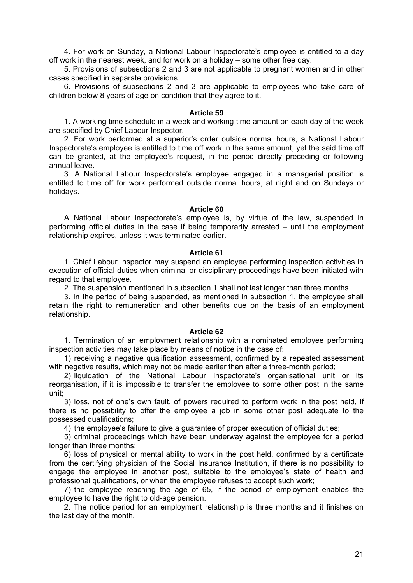4. For work on Sunday, a National Labour Inspectorate's employee is entitled to a day off work in the nearest week, and for work on a holiday – some other free day.

 5. Provisions of subsections 2 and 3 are not applicable to pregnant women and in other cases specified in separate provisions.

 6. Provisions of subsections 2 and 3 are applicable to employees who take care of children below 8 years of age on condition that they agree to it.

#### **Article 59**

 1. A working time schedule in a week and working time amount on each day of the week are specified by Chief Labour Inspector.

 2. For work performed at a superior's order outside normal hours, a National Labour Inspectorate's employee is entitled to time off work in the same amount, yet the said time off can be granted, at the employee's request, in the period directly preceding or following annual leave.

 3. A National Labour Inspectorate's employee engaged in a managerial position is entitled to time off for work performed outside normal hours, at night and on Sundays or holidays.

# **Article 60**

 A National Labour Inspectorate's employee is, by virtue of the law, suspended in performing official duties in the case if being temporarily arrested – until the employment relationship expires, unless it was terminated earlier.

### **Article 61**

 1. Chief Labour Inspector may suspend an employee performing inspection activities in execution of official duties when criminal or disciplinary proceedings have been initiated with regard to that employee.

2. The suspension mentioned in subsection 1 shall not last longer than three months.

 3. In the period of being suspended, as mentioned in subsection 1, the employee shall retain the right to remuneration and other benefits due on the basis of an employment relationship.

## **Article 62**

 1. Termination of an employment relationship with a nominated employee performing inspection activities may take place by means of notice in the case of:

1) receiving a negative qualification assessment, confirmed by a repeated assessment with negative results, which may not be made earlier than after a three-month period;

2) liquidation of the National Labour Inspectorate's organisational unit or its reorganisation, if it is impossible to transfer the employee to some other post in the same unit;

3) loss, not of one's own fault, of powers required to perform work in the post held, if there is no possibility to offer the employee a job in some other post adequate to the possessed qualifications;

4) the employee's failure to give a guarantee of proper execution of official duties;

5) criminal proceedings which have been underway against the employee for a period longer than three months;

6) loss of physical or mental ability to work in the post held, confirmed by a certificate from the certifying physician of the Social Insurance Institution, if there is no possibility to engage the employee in another post, suitable to the employee's state of health and professional qualifications, or when the employee refuses to accept such work;

7) the employee reaching the age of 65, if the period of employment enables the employee to have the right to old-age pension.

 2. The notice period for an employment relationship is three months and it finishes on the last day of the month.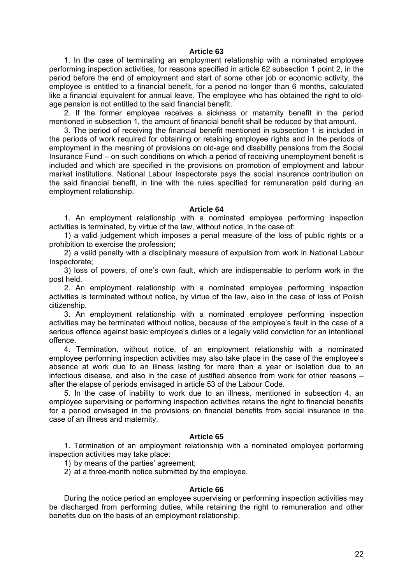### **Article 63**

 1. In the case of terminating an employment relationship with a nominated employee performing inspection activities, for reasons specified in article 62 subsection 1 point 2, in the period before the end of employment and start of some other job or economic activity, the employee is entitled to a financial benefit, for a period no longer than 6 months, calculated like a financial equivalent for annual leave. The employee who has obtained the right to oldage pension is not entitled to the said financial benefit.

 2. If the former employee receives a sickness or maternity benefit in the period mentioned in subsection 1, the amount of financial benefit shall be reduced by that amount.

 3. The period of receiving the financial benefit mentioned in subsection 1 is included in the periods of work required for obtaining or retaining employee rights and in the periods of employment in the meaning of provisions on old-age and disability pensions from the Social Insurance Fund – on such conditions on which a period of receiving unemployment benefit is included and which are specified in the provisions on promotion of employment and labour market institutions. National Labour Inspectorate pays the social insurance contribution on the said financial benefit, in line with the rules specified for remuneration paid during an employment relationship.

#### **Article 64**

 1. An employment relationship with a nominated employee performing inspection activities is terminated, by virtue of the law, without notice, in the case of:

1) a valid judgement which imposes a penal measure of the loss of public rights or a prohibition to exercise the profession;

2) a valid penalty with a disciplinary measure of expulsion from work in National Labour Inspectorate;

3) loss of powers, of one's own fault, which are indispensable to perform work in the post held.

 2. An employment relationship with a nominated employee performing inspection activities is terminated without notice, by virtue of the law, also in the case of loss of Polish citizenship.

 3. An employment relationship with a nominated employee performing inspection activities may be terminated without notice, because of the employee's fault in the case of a serious offence against basic employee's duties or a legally valid conviction for an intentional offence.

 4. Termination, without notice, of an employment relationship with a nominated employee performing inspection activities may also take place in the case of the employee's absence at work due to an illness lasting for more than a year or isolation due to an infectious disease, and also in the case of justified absence from work for other reasons – after the elapse of periods envisaged in article 53 of the Labour Code.

 5. In the case of inability to work due to an illness, mentioned in subsection 4, an employee supervising or performing inspection activities retains the right to financial benefits for a period envisaged in the provisions on financial benefits from social insurance in the case of an illness and maternity.

### **Article 65**

 1. Termination of an employment relationship with a nominated employee performing inspection activities may take place:

1) by means of the parties' agreement;

2) at a three-month notice submitted by the employee.

#### **Article 66**

 During the notice period an employee supervising or performing inspection activities may be discharged from performing duties, while retaining the right to remuneration and other benefits due on the basis of an employment relationship.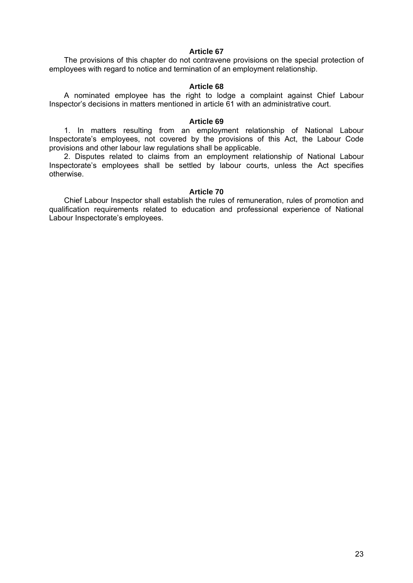# **Article 67**

 The provisions of this chapter do not contravene provisions on the special protection of employees with regard to notice and termination of an employment relationship.

## **Article 68**

 A nominated employee has the right to lodge a complaint against Chief Labour Inspector's decisions in matters mentioned in article 61 with an administrative court.

### **Article 69**

 1. In matters resulting from an employment relationship of National Labour Inspectorate's employees, not covered by the provisions of this Act, the Labour Code provisions and other labour law regulations shall be applicable.

 2. Disputes related to claims from an employment relationship of National Labour Inspectorate's employees shall be settled by labour courts, unless the Act specifies otherwise.

## **Article 70**

 Chief Labour Inspector shall establish the rules of remuneration, rules of promotion and qualification requirements related to education and professional experience of National Labour Inspectorate's employees.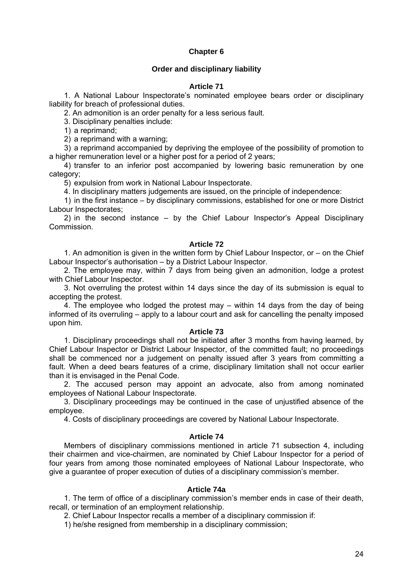# **Chapter 6**

# **Order and disciplinary liability**

## **Article 71**

 1. A National Labour Inspectorate's nominated employee bears order or disciplinary liability for breach of professional duties.

2. An admonition is an order penalty for a less serious fault.

3. Disciplinary penalties include:

1) a reprimand;

2) a reprimand with a warning;

3) a reprimand accompanied by depriving the employee of the possibility of promotion to a higher remuneration level or a higher post for a period of 2 years;

4) transfer to an inferior post accompanied by lowering basic remuneration by one category;

5) expulsion from work in National Labour Inspectorate.

4. In disciplinary matters judgements are issued, on the principle of independence:

1) in the first instance – by disciplinary commissions, established for one or more District Labour Inspectorates;

2) in the second instance – by the Chief Labour Inspector's Appeal Disciplinary Commission.

# **Article 72**

 1. An admonition is given in the written form by Chief Labour Inspector, or – on the Chief Labour Inspector's authorisation – by a District Labour Inspector.

 2. The employee may, within 7 days from being given an admonition, lodge a protest with Chief Labour Inspector.

 3. Not overruling the protest within 14 days since the day of its submission is equal to accepting the protest.

 4. The employee who lodged the protest may – within 14 days from the day of being informed of its overruling – apply to a labour court and ask for cancelling the penalty imposed upon him.

## **Article 73**

 1. Disciplinary proceedings shall not be initiated after 3 months from having learned, by Chief Labour Inspector or District Labour Inspector, of the committed fault; no proceedings shall be commenced nor a judgement on penalty issued after 3 years from committing a fault. When a deed bears features of a crime, disciplinary limitation shall not occur earlier than it is envisaged in the Penal Code.

 2. The accused person may appoint an advocate, also from among nominated employees of National Labour Inspectorate.

 3. Disciplinary proceedings may be continued in the case of unjustified absence of the employee.

4. Costs of disciplinary proceedings are covered by National Labour Inspectorate.

# **Article 74**

 Members of disciplinary commissions mentioned in article 71 subsection 4, including their chairmen and vice-chairmen, are nominated by Chief Labour Inspector for a period of four years from among those nominated employees of National Labour Inspectorate, who give a guarantee of proper execution of duties of a disciplinary commission's member.

# **Article 74a**

 1. The term of office of a disciplinary commission's member ends in case of their death, recall, or termination of an employment relationship.

2. Chief Labour Inspector recalls a member of a disciplinary commission if:

1) he/she resigned from membership in a disciplinary commission;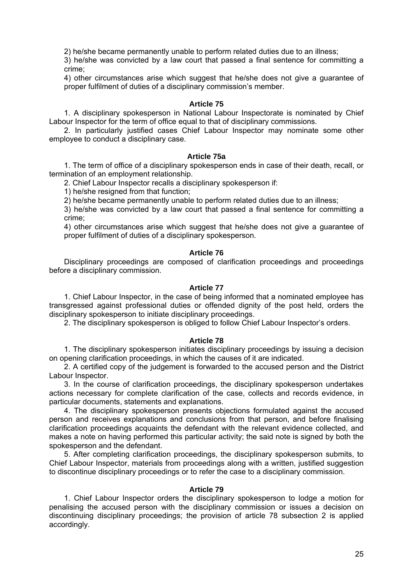2) he/she became permanently unable to perform related duties due to an illness;

3) he/she was convicted by a law court that passed a final sentence for committing a crime;

4) other circumstances arise which suggest that he/she does not give a guarantee of proper fulfilment of duties of a disciplinary commission's member.

## **Article 75**

 1. A disciplinary spokesperson in National Labour Inspectorate is nominated by Chief Labour Inspector for the term of office equal to that of disciplinary commissions.

 2. In particularly justified cases Chief Labour Inspector may nominate some other employee to conduct a disciplinary case.

### **Article 75a**

 1. The term of office of a disciplinary spokesperson ends in case of their death, recall, or termination of an employment relationship.

2. Chief Labour Inspector recalls a disciplinary spokesperson if:

1) he/she resigned from that function;

2) he/she became permanently unable to perform related duties due to an illness;

3) he/she was convicted by a law court that passed a final sentence for committing a crime;

4) other circumstances arise which suggest that he/she does not give a guarantee of proper fulfilment of duties of a disciplinary spokesperson.

#### **Article 76**

 Disciplinary proceedings are composed of clarification proceedings and proceedings before a disciplinary commission.

### **Article 77**

 1. Chief Labour Inspector, in the case of being informed that a nominated employee has transgressed against professional duties or offended dignity of the post held, orders the disciplinary spokesperson to initiate disciplinary proceedings.

2. The disciplinary spokesperson is obliged to follow Chief Labour Inspector's orders.

# **Article 78**

 1. The disciplinary spokesperson initiates disciplinary proceedings by issuing a decision on opening clarification proceedings, in which the causes of it are indicated.

 2. A certified copy of the judgement is forwarded to the accused person and the District Labour Inspector.

 3. In the course of clarification proceedings, the disciplinary spokesperson undertakes actions necessary for complete clarification of the case, collects and records evidence, in particular documents, statements and explanations.

 4. The disciplinary spokesperson presents objections formulated against the accused person and receives explanations and conclusions from that person, and before finalising clarification proceedings acquaints the defendant with the relevant evidence collected, and makes a note on having performed this particular activity; the said note is signed by both the spokesperson and the defendant.

 5. After completing clarification proceedings, the disciplinary spokesperson submits, to Chief Labour Inspector, materials from proceedings along with a written, justified suggestion to discontinue disciplinary proceedings or to refer the case to a disciplinary commission.

# **Article 79**

 1. Chief Labour Inspector orders the disciplinary spokesperson to lodge a motion for penalising the accused person with the disciplinary commission or issues a decision on discontinuing disciplinary proceedings; the provision of article 78 subsection 2 is applied accordingly.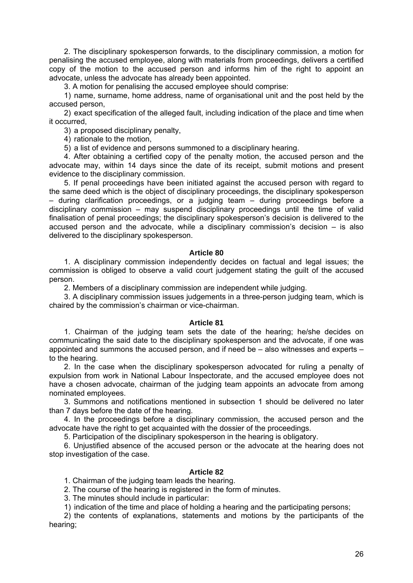2. The disciplinary spokesperson forwards, to the disciplinary commission, a motion for penalising the accused employee, along with materials from proceedings, delivers a certified copy of the motion to the accused person and informs him of the right to appoint an advocate, unless the advocate has already been appointed.

3. A motion for penalising the accused employee should comprise:

1) name, surname, home address, name of organisational unit and the post held by the accused person,

2) exact specification of the alleged fault, including indication of the place and time when it occurred,

3) a proposed disciplinary penalty,

4) rationale to the motion,

5) a list of evidence and persons summoned to a disciplinary hearing.

 4. After obtaining a certified copy of the penalty motion, the accused person and the advocate may, within 14 days since the date of its receipt, submit motions and present evidence to the disciplinary commission.

 5. If penal proceedings have been initiated against the accused person with regard to the same deed which is the object of disciplinary proceedings, the disciplinary spokesperson – during clarification proceedings, or a judging team – during proceedings before a disciplinary commission – may suspend disciplinary proceedings until the time of valid finalisation of penal proceedings; the disciplinary spokesperson's decision is delivered to the accused person and the advocate, while a disciplinary commission's decision – is also delivered to the disciplinary spokesperson.

## **Article 80**

 1. A disciplinary commission independently decides on factual and legal issues; the commission is obliged to observe a valid court judgement stating the guilt of the accused person.

2. Members of a disciplinary commission are independent while judging.

 3. A disciplinary commission issues judgements in a three-person judging team, which is chaired by the commission's chairman or vice-chairman.

## **Article 81**

 1. Chairman of the judging team sets the date of the hearing; he/she decides on communicating the said date to the disciplinary spokesperson and the advocate, if one was appointed and summons the accused person, and if need be – also witnesses and experts – to the hearing.

 2. In the case when the disciplinary spokesperson advocated for ruling a penalty of expulsion from work in National Labour Inspectorate, and the accused employee does not have a chosen advocate, chairman of the judging team appoints an advocate from among nominated employees.

 3. Summons and notifications mentioned in subsection 1 should be delivered no later than 7 days before the date of the hearing.

 4. In the proceedings before a disciplinary commission, the accused person and the advocate have the right to get acquainted with the dossier of the proceedings.

5. Participation of the disciplinary spokesperson in the hearing is obligatory.

 6. Unjustified absence of the accused person or the advocate at the hearing does not stop investigation of the case.

## **Article 82**

1. Chairman of the judging team leads the hearing.

2. The course of the hearing is registered in the form of minutes.

3. The minutes should include in particular:

1) indication of the time and place of holding a hearing and the participating persons;

2) the contents of explanations, statements and motions by the participants of the hearing;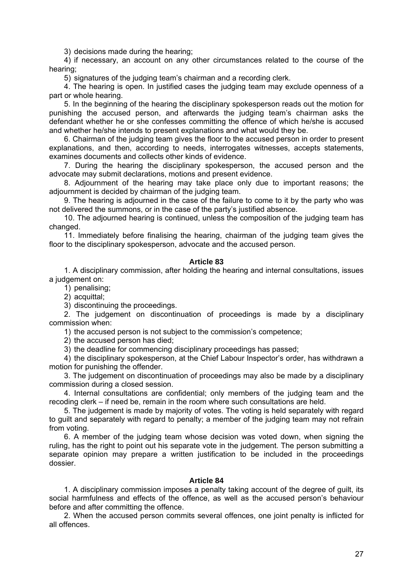3) decisions made during the hearing;

4) if necessary, an account on any other circumstances related to the course of the hearing;

5) signatures of the judging team's chairman and a recording clerk.

 4. The hearing is open. In justified cases the judging team may exclude openness of a part or whole hearing.

 5. In the beginning of the hearing the disciplinary spokesperson reads out the motion for punishing the accused person, and afterwards the judging team's chairman asks the defendant whether he or she confesses committing the offence of which he/she is accused and whether he/she intends to present explanations and what would they be.

 6. Chairman of the judging team gives the floor to the accused person in order to present explanations, and then, according to needs, interrogates witnesses, accepts statements, examines documents and collects other kinds of evidence.

 7. During the hearing the disciplinary spokesperson, the accused person and the advocate may submit declarations, motions and present evidence.

 8. Adjournment of the hearing may take place only due to important reasons; the adjournment is decided by chairman of the judging team.

 9. The hearing is adjourned in the case of the failure to come to it by the party who was not delivered the summons, or in the case of the party's justified absence.

 10. The adjourned hearing is continued, unless the composition of the judging team has changed.

 11. Immediately before finalising the hearing, chairman of the judging team gives the floor to the disciplinary spokesperson, advocate and the accused person.

## **Article 83**

 1. A disciplinary commission, after holding the hearing and internal consultations, issues a judgement on:

1) penalising;

2) acquittal;

3) discontinuing the proceedings.

 2. The judgement on discontinuation of proceedings is made by a disciplinary commission when:

1) the accused person is not subject to the commission's competence;

2) the accused person has died;

3) the deadline for commencing disciplinary proceedings has passed;

4) the disciplinary spokesperson, at the Chief Labour Inspector's order, has withdrawn a motion for punishing the offender.

 3. The judgement on discontinuation of proceedings may also be made by a disciplinary commission during a closed session.

 4. Internal consultations are confidential; only members of the judging team and the recoding clerk – if need be, remain in the room where such consultations are held.

 5. The judgement is made by majority of votes. The voting is held separately with regard to guilt and separately with regard to penalty; a member of the judging team may not refrain from voting.

 6. A member of the judging team whose decision was voted down, when signing the ruling, has the right to point out his separate vote in the judgement. The person submitting a separate opinion may prepare a written justification to be included in the proceedings dossier.

# **Article 84**

 1. A disciplinary commission imposes a penalty taking account of the degree of guilt, its social harmfulness and effects of the offence, as well as the accused person's behaviour before and after committing the offence.

 2. When the accused person commits several offences, one joint penalty is inflicted for all offences.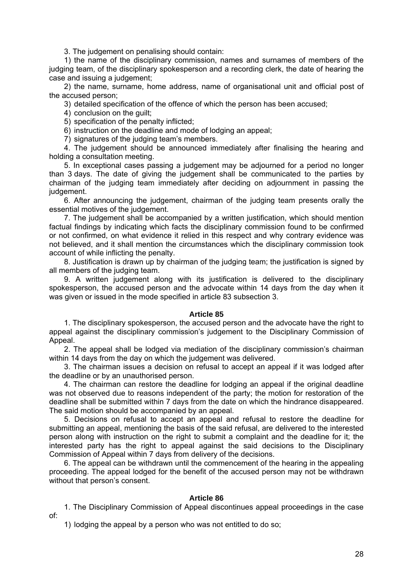3. The judgement on penalising should contain:

1) the name of the disciplinary commission, names and surnames of members of the judging team, of the disciplinary spokesperson and a recording clerk, the date of hearing the case and issuing a judgement;

2) the name, surname, home address, name of organisational unit and official post of the accused person;

3) detailed specification of the offence of which the person has been accused;

4) conclusion on the guilt;

5) specification of the penalty inflicted;

6) instruction on the deadline and mode of lodging an appeal;

7) signatures of the judging team's members.

 4. The judgement should be announced immediately after finalising the hearing and holding a consultation meeting.

 5. In exceptional cases passing a judgement may be adjourned for a period no longer than 3 days. The date of giving the judgement shall be communicated to the parties by chairman of the judging team immediately after deciding on adjournment in passing the judgement.

 6. After announcing the judgement, chairman of the judging team presents orally the essential motives of the judgement.

 7. The judgement shall be accompanied by a written justification, which should mention factual findings by indicating which facts the disciplinary commission found to be confirmed or not confirmed, on what evidence it relied in this respect and why contrary evidence was not believed, and it shall mention the circumstances which the disciplinary commission took account of while inflicting the penalty.

 8. Justification is drawn up by chairman of the judging team; the justification is signed by all members of the judging team.

 9. A written judgement along with its justification is delivered to the disciplinary spokesperson, the accused person and the advocate within 14 days from the day when it was given or issued in the mode specified in article 83 subsection 3.

## **Article 85**

 1. The disciplinary spokesperson, the accused person and the advocate have the right to appeal against the disciplinary commission's judgement to the Disciplinary Commission of Appeal.

 2. The appeal shall be lodged via mediation of the disciplinary commission's chairman within 14 days from the day on which the judgement was delivered.

 3. The chairman issues a decision on refusal to accept an appeal if it was lodged after the deadline or by an unauthorised person.

 4. The chairman can restore the deadline for lodging an appeal if the original deadline was not observed due to reasons independent of the party; the motion for restoration of the deadline shall be submitted within 7 days from the date on which the hindrance disappeared. The said motion should be accompanied by an appeal.

 5. Decisions on refusal to accept an appeal and refusal to restore the deadline for submitting an appeal, mentioning the basis of the said refusal, are delivered to the interested person along with instruction on the right to submit a complaint and the deadline for it; the interested party has the right to appeal against the said decisions to the Disciplinary Commission of Appeal within 7 days from delivery of the decisions.

 6. The appeal can be withdrawn until the commencement of the hearing in the appealing proceeding. The appeal lodged for the benefit of the accused person may not be withdrawn without that person's consent.

## **Article 86**

of:

1. The Disciplinary Commission of Appeal discontinues appeal proceedings in the case

1) lodging the appeal by a person who was not entitled to do so;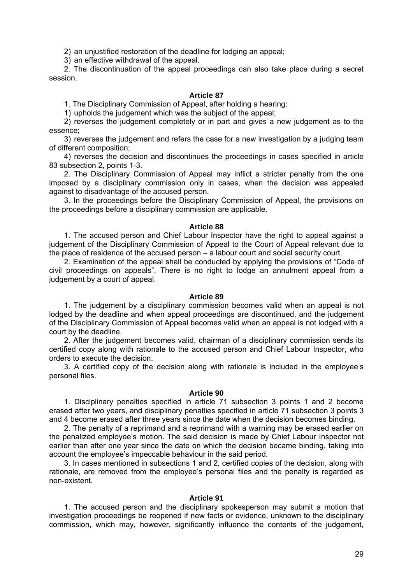2) an unjustified restoration of the deadline for lodging an appeal;

3) an effective withdrawal of the appeal.

 2. The discontinuation of the appeal proceedings can also take place during a secret session.

# **Article 87**

1. The Disciplinary Commission of Appeal, after holding a hearing:

1) upholds the judgement which was the subject of the appeal;

2) reverses the judgement completely or in part and gives a new judgement as to the essence;

3) reverses the judgement and refers the case for a new investigation by a judging team of different composition;

4) reverses the decision and discontinues the proceedings in cases specified in article 83 subsection 2, points 1-3.

 2. The Disciplinary Commission of Appeal may inflict a stricter penalty from the one imposed by a disciplinary commission only in cases, when the decision was appealed against to disadvantage of the accused person.

 3. In the proceedings before the Disciplinary Commission of Appeal, the provisions on the proceedings before a disciplinary commission are applicable.

## **Article 88**

 1. The accused person and Chief Labour Inspector have the right to appeal against a judgement of the Disciplinary Commission of Appeal to the Court of Appeal relevant due to the place of residence of the accused person – a labour court and social security court.

 2. Examination of the appeal shall be conducted by applying the provisions of "Code of civil proceedings on appeals". There is no right to lodge an annulment appeal from a judgement by a court of appeal.

# **Article 89**

 1. The judgement by a disciplinary commission becomes valid when an appeal is not lodged by the deadline and when appeal proceedings are discontinued, and the judgement of the Disciplinary Commission of Appeal becomes valid when an appeal is not lodged with a court by the deadline.

 2. After the judgement becomes valid, chairman of a disciplinary commission sends its certified copy along with rationale to the accused person and Chief Labour Inspector, who orders to execute the decision.

 3. A certified copy of the decision along with rationale is included in the employee's personal files.

## **Article 90**

 1. Disciplinary penalties specified in article 71 subsection 3 points 1 and 2 become erased after two years, and disciplinary penalties specified in article 71 subsection 3 points 3 and 4 become erased after three years since the date when the decision becomes binding.

 2. The penalty of a reprimand and a reprimand with a warning may be erased earlier on the penalized employee's motion. The said decision is made by Chief Labour Inspector not earlier than after one year since the date on which the decision became binding, taking into account the employee's impeccable behaviour in the said period.

 3. In cases mentioned in subsections 1 and 2, certified copies of the decision, along with rationale, are removed from the employee's personal files and the penalty is regarded as non-existent.

## **Article 91**

 1. The accused person and the disciplinary spokesperson may submit a motion that investigation proceedings be reopened if new facts or evidence, unknown to the disciplinary commission, which may, however, significantly influence the contents of the judgement,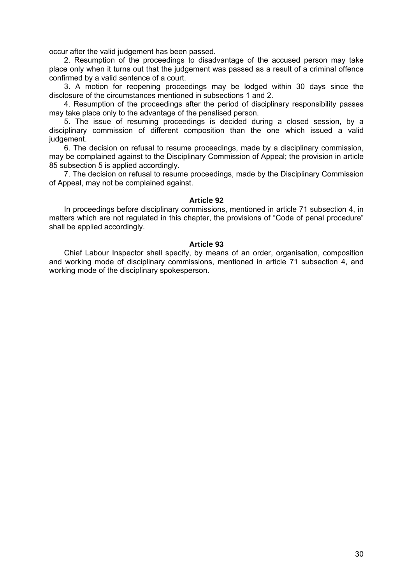occur after the valid judgement has been passed.

 2. Resumption of the proceedings to disadvantage of the accused person may take place only when it turns out that the judgement was passed as a result of a criminal offence confirmed by a valid sentence of a court.

 3. A motion for reopening proceedings may be lodged within 30 days since the disclosure of the circumstances mentioned in subsections 1 and 2.

 4. Resumption of the proceedings after the period of disciplinary responsibility passes may take place only to the advantage of the penalised person.

 5. The issue of resuming proceedings is decided during a closed session, by a disciplinary commission of different composition than the one which issued a valid judgement.

 6. The decision on refusal to resume proceedings, made by a disciplinary commission, may be complained against to the Disciplinary Commission of Appeal; the provision in article 85 subsection 5 is applied accordingly.

 7. The decision on refusal to resume proceedings, made by the Disciplinary Commission of Appeal, may not be complained against.

## **Article 92**

 In proceedings before disciplinary commissions, mentioned in article 71 subsection 4, in matters which are not regulated in this chapter, the provisions of "Code of penal procedure" shall be applied accordingly.

## **Article 93**

 Chief Labour Inspector shall specify, by means of an order, organisation, composition and working mode of disciplinary commissions, mentioned in article 71 subsection 4, and working mode of the disciplinary spokesperson.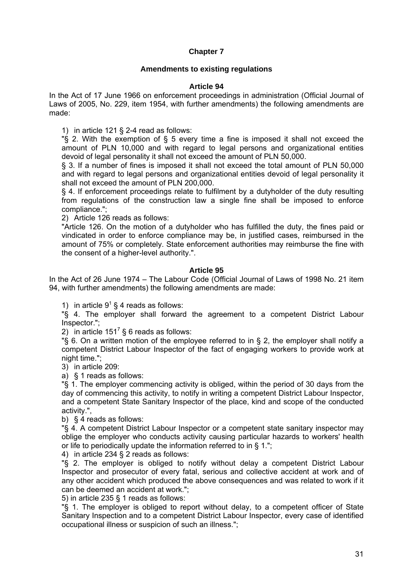# **Chapter 7**

# **Amendments to existing regulations**

# **Article 94**

In the Act of 17 June 1966 on enforcement proceedings in administration (Official Journal of Laws of 2005, No. 229, item 1954, with further amendments) the following amendments are made:

1) in article 121 § 2-4 read as follows:

"§ 2. With the exemption of § 5 every time a fine is imposed it shall not exceed the amount of PLN 10,000 and with regard to legal persons and organizational entities devoid of legal personality it shall not exceed the amount of PLN 50,000.

§ 3. If a number of fines is imposed it shall not exceed the total amount of PLN 50,000 and with regard to legal persons and organizational entities devoid of legal personality it shall not exceed the amount of PLN 200,000.

§ 4. If enforcement proceedings relate to fulfilment by a dutyholder of the duty resulting from regulations of the construction law a single fine shall be imposed to enforce compliance.";

2) Article 126 reads as follows:

"Article 126. On the motion of a dutyholder who has fulfilled the duty, the fines paid or vindicated in order to enforce compliance may be, in justified cases, reimbursed in the amount of 75% or completely. State enforcement authorities may reimburse the fine with the consent of a higher-level authority.".

# **Article 95**

In the Act of 26 June 1974 – The Labour Code (Official Journal of Laws of 1998 No. 21 item 94, with further amendments) the following amendments are made:

1) in article  $9^1$  § 4 reads as follows:

"§ 4. The employer shall forward the agreement to a competent District Labour Inspector.";

2) in article 151<sup>7</sup> § 6 reads as follows:

"§ 6. On a written motion of the employee referred to in § 2, the employer shall notify a competent District Labour Inspector of the fact of engaging workers to provide work at night time.";

3) in article 209:

a) § 1 reads as follows:

"§ 1. The employer commencing activity is obliged, within the period of 30 days from the day of commencing this activity, to notify in writing a competent District Labour Inspector, and a competent State Sanitary Inspector of the place, kind and scope of the conducted activity.",

b) § 4 reads as follows:

"§ 4. A competent District Labour Inspector or a competent state sanitary inspector may oblige the employer who conducts activity causing particular hazards to workers' health or life to periodically update the information referred to in § 1.";

4) in article 234 § 2 reads as follows:

"§ 2. The employer is obliged to notify without delay a competent District Labour Inspector and prosecutor of every fatal, serious and collective accident at work and of any other accident which produced the above consequences and was related to work if it can be deemed an accident at work.";

5) in article 235 § 1 reads as follows:

"§ 1. The employer is obliged to report without delay, to a competent officer of State Sanitary Inspection and to a competent District Labour Inspector, every case of identified occupational illness or suspicion of such an illness.";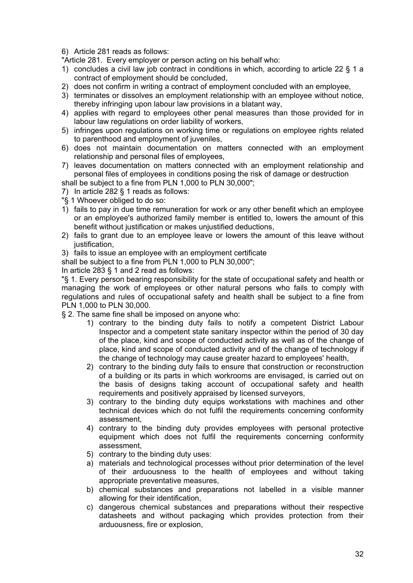6) Article 281 reads as follows:

"Article 281. Every employer or person acting on his behalf who:

- 1) concludes a civil law job contract in conditions in which, according to article 22 § 1 a contract of employment should be concluded,
- 2) does not confirm in writing a contract of employment concluded with an employee,
- 3) terminates or dissolves an employment relationship with an employee without notice, thereby infringing upon labour law provisions in a blatant way,
- 4) applies with regard to employees other penal measures than those provided for in labour law regulations on order liability of workers,
- 5) infringes upon regulations on working time or regulations on employee rights related to parenthood and employment of juveniles,
- 6) does not maintain documentation on matters connected with an employment relationship and personal files of employees,
- 7) leaves documentation on matters connected with an employment relationship and personal files of employees in conditions posing the risk of damage or destruction

shall be subject to a fine from PLN 1,000 to PLN 30,000";

- 7) In article 282 § 1 reads as follows:
- "§ 1 Whoever obliged to do so:
- 1) fails to pay in due time remuneration for work or any other benefit which an employee or an employee's authorized family member is entitled to, lowers the amount of this benefit without justification or makes unjustified deductions,
- 2) fails to grant due to an employee leave or lowers the amount of this leave without justification.
- 3) fails to issue an employee with an employment certificate

shall be subject to a fine from PLN 1,000 to PLN 30,000";

In article 283 § 1 and 2 read as follows:

"§ 1. Every person bearing responsibility for the state of occupational safety and health or managing the work of employees or other natural persons who fails to comply with regulations and rules of occupational safety and health shall be subject to a fine from PLN 1,000 to PLN 30,000.

§ 2. The same fine shall be imposed on anyone who:

- 1) contrary to the binding duty fails to notify a competent District Labour Inspector and a competent state sanitary inspector within the period of 30 day of the place, kind and scope of conducted activity as well as of the change of place, kind and scope of conducted activity and of the change of technology if the change of technology may cause greater hazard to employees' health,
- 2) contrary to the binding duty fails to ensure that construction or reconstruction of a building or its parts in which workrooms are envisaged, is carried out on the basis of designs taking account of occupational safety and health requirements and positively appraised by licensed surveyors,
- 3) contrary to the binding duty equips workstations with machines and other technical devices which do not fulfil the requirements concerning conformity assessment,
- 4) contrary to the binding duty provides employees with personal protective equipment which does not fulfil the requirements concerning conformity assessment,
- 5) contrary to the binding duty uses:
- a) materials and technological processes without prior determination of the level of their arduousness to the health of employees and without taking appropriate preventative measures,
- b) chemical substances and preparations not labelled in a visible manner allowing for their identification,
- c) dangerous chemical substances and preparations without their respective datasheets and without packaging which provides protection from their arduousness, fire or explosion,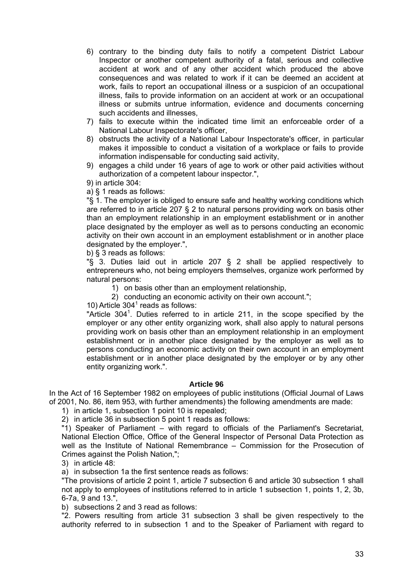- 6) contrary to the binding duty fails to notify a competent District Labour Inspector or another competent authority of a fatal, serious and collective accident at work and of any other accident which produced the above consequences and was related to work if it can be deemed an accident at work, fails to report an occupational illness or a suspicion of an occupational illness, fails to provide information on an accident at work or an occupational illness or submits untrue information, evidence and documents concerning such accidents and illnesses.
- 7) fails to execute within the indicated time limit an enforceable order of a National Labour Inspectorate's officer,
- 8) obstructs the activity of a National Labour Inspectorate's officer, in particular makes it impossible to conduct a visitation of a workplace or fails to provide information indispensable for conducting said activity,
- 9) engages a child under 16 years of age to work or other paid activities without authorization of a competent labour inspector.",

9) in article 304:

a) § 1 reads as follows:

"§ 1. The employer is obliged to ensure safe and healthy working conditions which are referred to in article 207 § 2 to natural persons providing work on basis other than an employment relationship in an employment establishment or in another place designated by the employer as well as to persons conducting an economic activity on their own account in an employment establishment or in another place designated by the employer.",

b) § 3 reads as follows:

"§ 3. Duties laid out in article 207 § 2 shall be applied respectively to entrepreneurs who, not being employers themselves, organize work performed by natural persons:

1) on basis other than an employment relationship,

2) conducting an economic activity on their own account.";

10) Article  $304<sup>1</sup>$  reads as follows:

"Article 304<sup>1</sup>. Duties referred to in article 211, in the scope specified by the employer or any other entity organizing work, shall also apply to natural persons providing work on basis other than an employment relationship in an employment establishment or in another place designated by the employer as well as to persons conducting an economic activity on their own account in an employment establishment or in another place designated by the employer or by any other entity organizing work.".

## **Article 96**

In the Act of 16 September 1982 on employees of public institutions (Official Journal of Laws of 2001, No. 86, item 953, with further amendments) the following amendments are made:

1) in article 1, subsection 1 point 10 is repealed;

2) in article 36 in subsection 5 point 1 reads as follows:

"1) Speaker of Parliament – with regard to officials of the Parliament's Secretariat, National Election Office, Office of the General Inspector of Personal Data Protection as well as the Institute of National Remembrance – Commission for the Prosecution of Crimes against the Polish Nation,";

3) in article 48:

a) in subsection 1a the first sentence reads as follows:

"The provisions of article 2 point 1, article 7 subsection 6 and article 30 subsection 1 shall not apply to employees of institutions referred to in article 1 subsection 1, points 1, 2, 3b, 6-7a, 9 and 13.",

b) subsections 2 and 3 read as follows:

"2. Powers resulting from article 31 subsection 3 shall be given respectively to the authority referred to in subsection 1 and to the Speaker of Parliament with regard to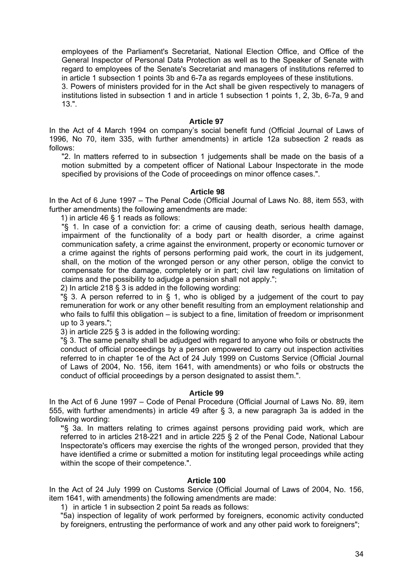employees of the Parliament's Secretariat, National Election Office, and Office of the General Inspector of Personal Data Protection as well as to the Speaker of Senate with regard to employees of the Senate's Secretariat and managers of institutions referred to in article 1 subsection 1 points 3b and 6-7a as regards employees of these institutions.

3. Powers of ministers provided for in the Act shall be given respectively to managers of institutions listed in subsection 1 and in article 1 subsection 1 points 1, 2, 3b, 6-7a, 9 and 13.".

#### **Article 97**

In the Act of 4 March 1994 on company's social benefit fund (Official Journal of Laws of 1996, No 70, item 335, with further amendments) in article 12a subsection 2 reads as follows:

"2. In matters referred to in subsection 1 judgements shall be made on the basis of a motion submitted by a competent officer of National Labour Inspectorate in the mode specified by provisions of the Code of proceedings on minor offence cases.".

## **Article 98**

In the Act of 6 June 1997 – The Penal Code (Official Journal of Laws No. 88, item 553, with further amendments) the following amendments are made:

1) in article 46 § 1 reads as follows:

"§ 1. In case of a conviction for: a crime of causing death, serious health damage, impairment of the functionality of a body part or health disorder, a crime against communication safety, a crime against the environment, property or economic turnover or a crime against the rights of persons performing paid work, the court in its judgement, shall, on the motion of the wronged person or any other person, oblige the convict to compensate for the damage, completely or in part; civil law regulations on limitation of claims and the possibility to adjudge a pension shall not apply.";

2) In article 218 § 3 is added in the following wording:

" $\S$  3. A person referred to in  $\S$  1, who is obliged by a judgement of the court to pay remuneration for work or any other benefit resulting from an employment relationship and who fails to fulfil this obligation – is subject to a fine, limitation of freedom or imprisonment up to 3 years.";

3) in article 225 § 3 is added in the following wording:

"§ 3. The same penalty shall be adjudged with regard to anyone who foils or obstructs the conduct of official proceedings by a person empowered to carry out inspection activities referred to in chapter 1e of the Act of 24 July 1999 on Customs Service (Official Journal of Laws of 2004, No. 156, item 1641, with amendments) or who foils or obstructs the conduct of official proceedings by a person designated to assist them.".

## **Article 99**

In the Act of 6 June 1997 – Code of Penal Procedure (Official Journal of Laws No. 89, item 555, with further amendments) in article 49 after § 3, a new paragraph 3a is added in the following wording:

**"**§ 3a. In matters relating to crimes against persons providing paid work, which are referred to in articles 218-221 and in article 225 § 2 of the Penal Code, National Labour Inspectorate's officers may exercise the rights of the wronged person, provided that they have identified a crime or submitted a motion for instituting legal proceedings while acting within the scope of their competence.".

## **Article 100**

In the Act of 24 July 1999 on Customs Service (Official Journal of Laws of 2004, No. 156, item 1641, with amendments) the following amendments are made:

1) in article 1 in subsection 2 point 5a reads as follows:

"5a) inspection of legality of work performed by foreigners, economic activity conducted by foreigners, entrusting the performance of work and any other paid work to foreigners";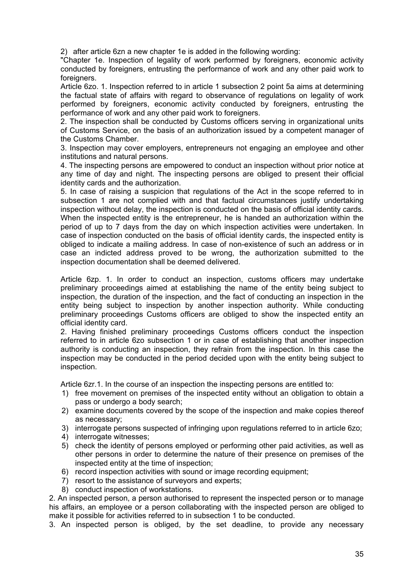2) after article 6zn a new chapter 1e is added in the following wording:

"Chapter 1e. Inspection of legality of work performed by foreigners, economic activity conducted by foreigners, entrusting the performance of work and any other paid work to foreigners.

Article 6zo. 1. Inspection referred to in article 1 subsection 2 point 5a aims at determining the factual state of affairs with regard to observance of regulations on legality of work performed by foreigners, economic activity conducted by foreigners, entrusting the performance of work and any other paid work to foreigners.

2. The inspection shall be conducted by Customs officers serving in organizational units of Customs Service, on the basis of an authorization issued by a competent manager of the Customs Chamber.

3. Inspection may cover employers, entrepreneurs not engaging an employee and other institutions and natural persons.

4. The inspecting persons are empowered to conduct an inspection without prior notice at any time of day and night. The inspecting persons are obliged to present their official identity cards and the authorization.

5. In case of raising a suspicion that regulations of the Act in the scope referred to in subsection 1 are not complied with and that factual circumstances justify undertaking inspection without delay, the inspection is conducted on the basis of official identity cards. When the inspected entity is the entrepreneur, he is handed an authorization within the period of up to 7 days from the day on which inspection activities were undertaken. In case of inspection conducted on the basis of official identity cards, the inspected entity is obliged to indicate a mailing address. In case of non-existence of such an address or in case an indicted address proved to be wrong, the authorization submitted to the inspection documentation shall be deemed delivered.

Article 6zp. 1. In order to conduct an inspection, customs officers may undertake preliminary proceedings aimed at establishing the name of the entity being subject to inspection, the duration of the inspection, and the fact of conducting an inspection in the entity being subject to inspection by another inspection authority. While conducting preliminary proceedings Customs officers are obliged to show the inspected entity an official identity card.

2. Having finished preliminary proceedings Customs officers conduct the inspection referred to in article 6zo subsection 1 or in case of establishing that another inspection authority is conducting an inspection, they refrain from the inspection. In this case the inspection may be conducted in the period decided upon with the entity being subject to inspection.

Article 6zr.1. In the course of an inspection the inspecting persons are entitled to:

- 1) free movement on premises of the inspected entity without an obligation to obtain a pass or undergo a body search;
- 2) examine documents covered by the scope of the inspection and make copies thereof as necessary;
- 3) interrogate persons suspected of infringing upon regulations referred to in article 6zo;
- 4) interrogate witnesses;
- 5) check the identity of persons employed or performing other paid activities, as well as other persons in order to determine the nature of their presence on premises of the inspected entity at the time of inspection;
- 6) record inspection activities with sound or image recording equipment;
- 7) resort to the assistance of surveyors and experts;
- 8) conduct inspection of workstations.

2. An inspected person, a person authorised to represent the inspected person or to manage his affairs, an employee or a person collaborating with the inspected person are obliged to make it possible for activities referred to in subsection 1 to be conducted.

3. An inspected person is obliged, by the set deadline, to provide any necessary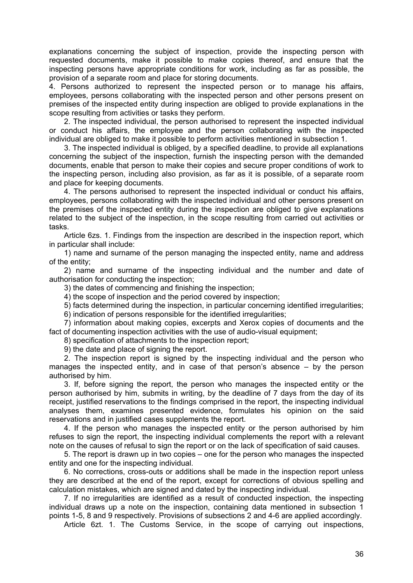explanations concerning the subject of inspection, provide the inspecting person with requested documents, make it possible to make copies thereof, and ensure that the inspecting persons have appropriate conditions for work, including as far as possible, the provision of a separate room and place for storing documents.

4. Persons authorized to represent the inspected person or to manage his affairs, employees, persons collaborating with the inspected person and other persons present on premises of the inspected entity during inspection are obliged to provide explanations in the scope resulting from activities or tasks they perform.

 2. The inspected individual, the person authorised to represent the inspected individual or conduct his affairs, the employee and the person collaborating with the inspected individual are obliged to make it possible to perform activities mentioned in subsection 1.

 3. The inspected individual is obliged, by a specified deadline, to provide all explanations concerning the subject of the inspection, furnish the inspecting person with the demanded documents, enable that person to make their copies and secure proper conditions of work to the inspecting person, including also provision, as far as it is possible, of a separate room and place for keeping documents.

 4. The persons authorised to represent the inspected individual or conduct his affairs, employees, persons collaborating with the inspected individual and other persons present on the premises of the inspected entity during the inspection are obliged to give explanations related to the subject of the inspection, in the scope resulting from carried out activities or tasks.

 Article 6zs. 1. Findings from the inspection are described in the inspection report, which in particular shall include:

 1) name and surname of the person managing the inspected entity, name and address of the entity;

 2) name and surname of the inspecting individual and the number and date of authorisation for conducting the inspection;

3) the dates of commencing and finishing the inspection;

4) the scope of inspection and the period covered by inspection;

5) facts determined during the inspection, in particular concerning identified irregularities;

6) indication of persons responsible for the identified irregularities;

 7) information about making copies, excerpts and Xerox copies of documents and the fact of documenting inspection activities with the use of audio-visual equipment;

8) specification of attachments to the inspection report;

9) the date and place of signing the report.

 2. The inspection report is signed by the inspecting individual and the person who manages the inspected entity, and in case of that person's absence – by the person authorised by him.

 3. If, before signing the report, the person who manages the inspected entity or the person authorised by him, submits in writing, by the deadline of 7 days from the day of its receipt, justified reservations to the findings comprised in the report, the inspecting individual analyses them, examines presented evidence, formulates his opinion on the said reservations and in justified cases supplements the report.

 4. If the person who manages the inspected entity or the person authorised by him refuses to sign the report, the inspecting individual complements the report with a relevant note on the causes of refusal to sign the report or on the lack of specification of said causes.

 5. The report is drawn up in two copies – one for the person who manages the inspected entity and one for the inspecting individual.

 6. No corrections, cross-outs or additions shall be made in the inspection report unless they are described at the end of the report, except for corrections of obvious spelling and calculation mistakes, which are signed and dated by the inspecting individual.

 7. If no irregularities are identified as a result of conducted inspection, the inspecting individual draws up a note on the inspection, containing data mentioned in subsection 1 points 1-5, 8 and 9 respectively. Provisions of subsections 2 and 4-6 are applied accordingly.

Article 6zt. 1. The Customs Service, in the scope of carrying out inspections,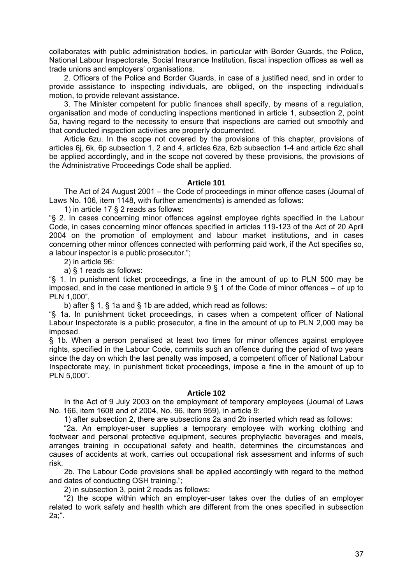collaborates with public administration bodies, in particular with Border Guards, the Police, National Labour Inspectorate, Social Insurance Institution, fiscal inspection offices as well as trade unions and employers' organisations.

 2. Officers of the Police and Border Guards, in case of a justified need, and in order to provide assistance to inspecting individuals, are obliged, on the inspecting individual's motion, to provide relevant assistance.

 3. The Minister competent for public finances shall specify, by means of a regulation, organisation and mode of conducting inspections mentioned in article 1, subsection 2, point 5a, having regard to the necessity to ensure that inspections are carried out smoothly and that conducted inspection activities are properly documented.

 Article 6zu. In the scope not covered by the provisions of this chapter, provisions of articles 6j, 6k, 6p subsection 1, 2 and 4, articles 6za, 6zb subsection 1-4 and article 6zc shall be applied accordingly, and in the scope not covered by these provisions, the provisions of the Administrative Proceedings Code shall be applied.

## **Article 101**

 The Act of 24 August 2001 – the Code of proceedings in minor offence cases (Journal of Laws No. 106, item 1148, with further amendments) is amended as follows:

1) in article 17 § 2 reads as follows:

"§ 2. In cases concerning minor offences against employee rights specified in the Labour Code, in cases concerning minor offences specified in articles 119-123 of the Act of 20 April 2004 on the promotion of employment and labour market institutions, and in cases concerning other minor offences connected with performing paid work, if the Act specifies so, a labour inspector is a public prosecutor.";

2) in article 96:

a) § 1 reads as follows:

"§ 1. In punishment ticket proceedings, a fine in the amount of up to PLN 500 may be imposed, and in the case mentioned in article  $9 \,$ § 1 of the Code of minor offences – of up to PLN 1,000",

b) after § 1, § 1a and § 1b are added, which read as follows:

"§ 1a. In punishment ticket proceedings, in cases when a competent officer of National Labour Inspectorate is a public prosecutor, a fine in the amount of up to PLN 2,000 may be imposed.

§ 1b. When a person penalised at least two times for minor offences against employee rights, specified in the Labour Code, commits such an offence during the period of two years since the day on which the last penalty was imposed, a competent officer of National Labour Inspectorate may, in punishment ticket proceedings, impose a fine in the amount of up to PLN 5,000".

## **Article 102**

 In the Act of 9 July 2003 on the employment of temporary employees (Journal of Laws No. 166, item 1608 and of 2004, No. 96, item 959), in article 9:

1) after subsection 2, there are subsections 2a and 2b inserted which read as follows:

 "2a. An employer-user supplies a temporary employee with working clothing and footwear and personal protective equipment, secures prophylactic beverages and meals, arranges training in occupational safety and health, determines the circumstances and causes of accidents at work, carries out occupational risk assessment and informs of such risk.

 2b. The Labour Code provisions shall be applied accordingly with regard to the method and dates of conducting OSH training.";

2) in subsection 3, point 2 reads as follows:

 "2) the scope within which an employer-user takes over the duties of an employer related to work safety and health which are different from the ones specified in subsection 2a;".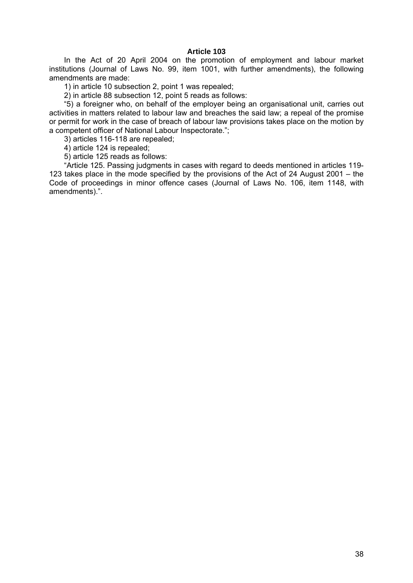# **Article 103**

 In the Act of 20 April 2004 on the promotion of employment and labour market institutions (Journal of Laws No. 99, item 1001, with further amendments), the following amendments are made:

1) in article 10 subsection 2, point 1 was repealed;

2) in article 88 subsection 12, point 5 reads as follows:

 "5) a foreigner who, on behalf of the employer being an organisational unit, carries out activities in matters related to labour law and breaches the said law; a repeal of the promise or permit for work in the case of breach of labour law provisions takes place on the motion by a competent officer of National Labour Inspectorate.";

3) articles 116-118 are repealed;

4) article 124 is repealed;

5) article 125 reads as follows:

 "Article 125. Passing judgments in cases with regard to deeds mentioned in articles 119- 123 takes place in the mode specified by the provisions of the Act of 24 August 2001 – the Code of proceedings in minor offence cases (Journal of Laws No. 106, item 1148, with amendments).".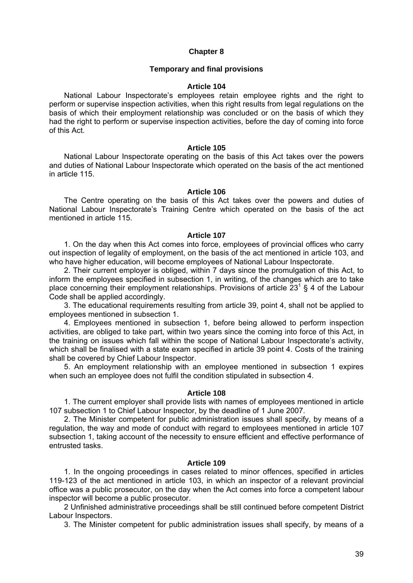### **Chapter 8**

### **Temporary and final provisions**

### **Article 104**

National Labour Inspectorate's employees retain employee rights and the right to perform or supervise inspection activities, when this right results from legal regulations on the basis of which their employment relationship was concluded or on the basis of which they had the right to perform or supervise inspection activities, before the day of coming into force of this Act.

#### **Article 105**

 National Labour Inspectorate operating on the basis of this Act takes over the powers and duties of National Labour Inspectorate which operated on the basis of the act mentioned in article 115.

#### **Article 106**

 The Centre operating on the basis of this Act takes over the powers and duties of National Labour Inspectorate's Training Centre which operated on the basis of the act mentioned in article 115.

#### **Article 107**

 1. On the day when this Act comes into force, employees of provincial offices who carry out inspection of legality of employment, on the basis of the act mentioned in article 103, and who have higher education, will become employees of National Labour Inspectorate.

 2. Their current employer is obliged, within 7 days since the promulgation of this Act, to inform the employees specified in subsection 1, in writing, of the changes which are to take place concerning their employment relationships. Provisions of article  $23^1$  § 4 of the Labour Code shall be applied accordingly.

 3. The educational requirements resulting from article 39, point 4, shall not be applied to employees mentioned in subsection 1.

 4. Employees mentioned in subsection 1, before being allowed to perform inspection activities, are obliged to take part, within two years since the coming into force of this Act, in the training on issues which fall within the scope of National Labour Inspectorate's activity, which shall be finalised with a state exam specified in article 39 point 4. Costs of the training shall be covered by Chief Labour Inspector.

 5. An employment relationship with an employee mentioned in subsection 1 expires when such an employee does not fulfil the condition stipulated in subsection 4.

## **Article 108**

 1. The current employer shall provide lists with names of employees mentioned in article 107 subsection 1 to Chief Labour Inspector, by the deadline of 1 June 2007.

 2. The Minister competent for public administration issues shall specify, by means of a regulation, the way and mode of conduct with regard to employees mentioned in article 107 subsection 1, taking account of the necessity to ensure efficient and effective performance of entrusted tasks.

## **Article 109**

 1. In the ongoing proceedings in cases related to minor offences, specified in articles 119-123 of the act mentioned in article 103, in which an inspector of a relevant provincial office was a public prosecutor, on the day when the Act comes into force a competent labour inspector will become a public prosecutor.

 2 Unfinished administrative proceedings shall be still continued before competent District Labour Inspectors.

3. The Minister competent for public administration issues shall specify, by means of a